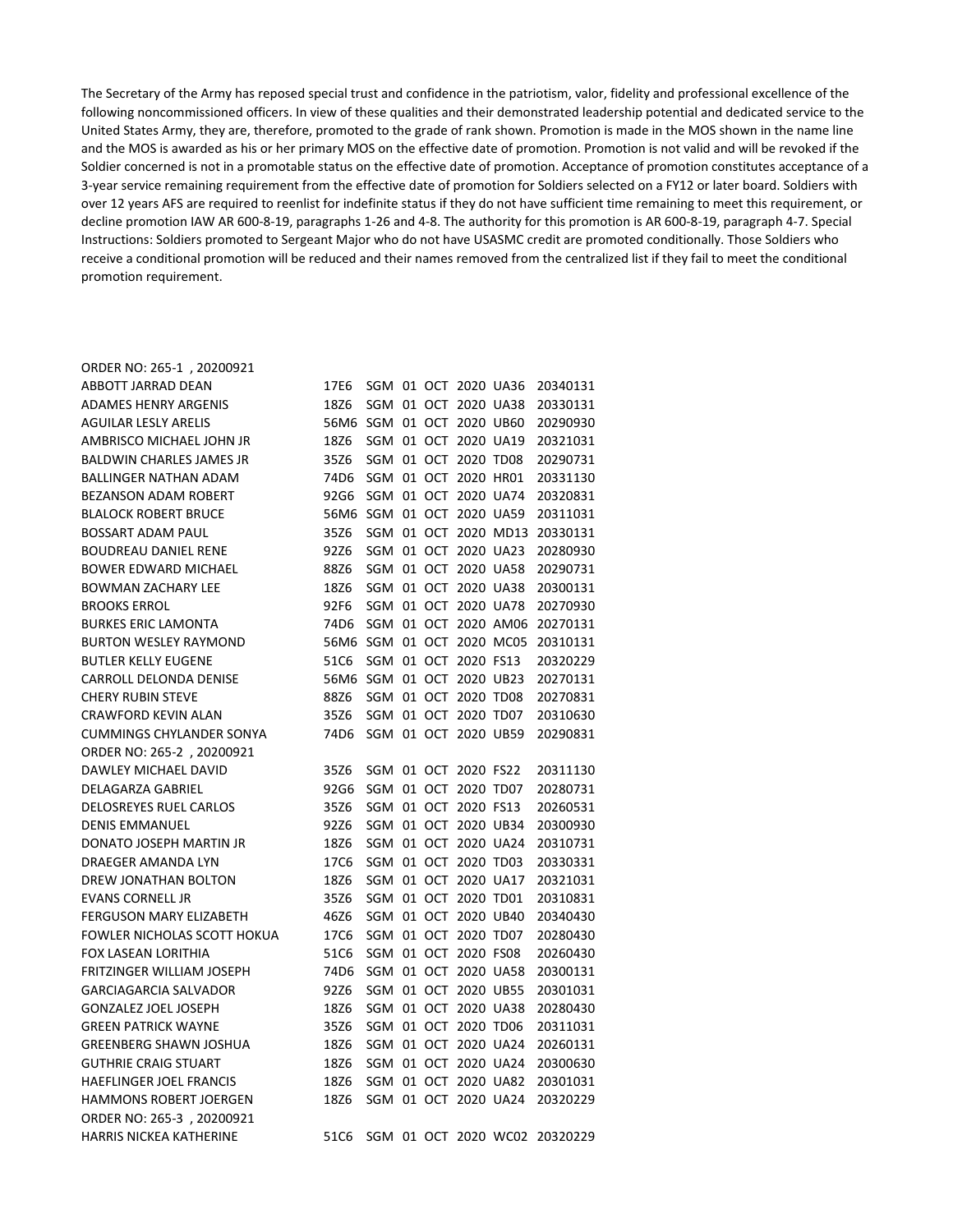The Secretary of the Army has reposed special trust and confidence in the patriotism, valor, fidelity and professional excellence of the following noncommissioned officers. In view of these qualities and their demonstrated leadership potential and dedicated service to the United States Army, they are, therefore, promoted to the grade of rank shown. Promotion is made in the MOS shown in the name line and the MOS is awarded as his or her primary MOS on the effective date of promotion. Promotion is not valid and will be revoked if the Soldier concerned is not in a promotable status on the effective date of promotion. Acceptance of promotion constitutes acceptance of a 3-year service remaining requirement from the effective date of promotion for Soldiers selected on a FY12 or later board. Soldiers with over 12 years AFS are required to reenlist for indefinite status if they do not have sufficient time remaining to meet this requirement, or decline promotion IAW AR 600-8-19, paragraphs 1-26 and 4-8. The authority for this promotion is AR 600-8-19, paragraph 4-7. Special Instructions: Soldiers promoted to Sergeant Major who do not have USASMC credit are promoted conditionally. Those Soldiers who receive a conditional promotion will be reduced and their names removed from the centralized list if they fail to meet the conditional promotion requirement.

| ORDER NO: 265-1, 20200921       |                           |  |                      |                           |                                    |
|---------------------------------|---------------------------|--|----------------------|---------------------------|------------------------------------|
| ABBOTT JARRAD DEAN              | 17E6                      |  |                      |                           | SGM 01 OCT 2020 UA36 20340131      |
| <b>ADAMES HENRY ARGENIS</b>     | 18Z6                      |  |                      | SGM 01 OCT 2020 UA38      | 20330131                           |
| <b>AGUILAR LESLY ARELIS</b>     | 56M6                      |  | SGM 01 OCT 2020 UB60 |                           | 20290930                           |
| AMBRISCO MICHAEL JOHN JR        | 18Z6                      |  |                      | SGM 01 OCT 2020 UA19      | 20321031                           |
| <b>BALDWIN CHARLES JAMES JR</b> | 35Z6                      |  | SGM 01 OCT 2020 TD08 |                           | 20290731                           |
| <b>BALLINGER NATHAN ADAM</b>    | 74D6                      |  |                      | SGM 01 OCT 2020 HR01      | 20331130                           |
| <b>BEZANSON ADAM ROBERT</b>     | 92G6                      |  |                      | SGM 01 OCT 2020 UA74      | 20320831                           |
| <b>BLALOCK ROBERT BRUCE</b>     | 56M6                      |  | SGM 01 OCT 2020 UA59 |                           | 20311031                           |
| <b>BOSSART ADAM PAUL</b>        | 35Z6                      |  |                      | SGM 01 OCT 2020 MD13      | 20330131                           |
| <b>BOUDREAU DANIEL RENE</b>     | 92Z6                      |  |                      | SGM 01 OCT 2020 UA23      | 20280930                           |
| <b>BOWER EDWARD MICHAEL</b>     | 88Z6                      |  | SGM 01 OCT 2020 UA58 |                           | 20290731                           |
| <b>BOWMAN ZACHARY LEE</b>       | 18Z6                      |  |                      | SGM 01 OCT 2020 UA38      | 20300131                           |
| <b>BROOKS ERROL</b>             | 92F6                      |  | SGM 01 OCT 2020 UA78 |                           | 20270930                           |
| <b>BURKES ERIC LAMONTA</b>      | 74D6                      |  |                      | SGM 01 OCT 2020 AM06      | 20270131                           |
| <b>BURTON WESLEY RAYMOND</b>    |                           |  |                      | 56M6 SGM 01 OCT 2020 MC05 | 20310131                           |
| <b>BUTLER KELLY EUGENE</b>      | 51C6                      |  | SGM 01 OCT 2020 FS13 |                           | 20320229                           |
| CARROLL DELONDA DENISE          | 56M6 SGM 01 OCT 2020 UB23 |  |                      |                           | 20270131                           |
| <b>CHERY RUBIN STEVE</b>        | 88Z6                      |  | SGM 01 OCT 2020 TD08 |                           | 20270831                           |
| <b>CRAWFORD KEVIN ALAN</b>      | 35Z6                      |  | SGM 01 OCT 2020 TD07 |                           | 20310630                           |
| <b>CUMMINGS CHYLANDER SONYA</b> | 74D6                      |  | SGM 01 OCT 2020 UB59 |                           | 20290831                           |
| ORDER NO: 265-2, 20200921       |                           |  |                      |                           |                                    |
| DAWLEY MICHAEL DAVID            | 35Z6                      |  | SGM 01 OCT 2020 FS22 |                           | 20311130                           |
| DELAGARZA GABRIEL               | 92G6                      |  | SGM 01 OCT 2020 TD07 |                           | 20280731                           |
| DELOSREYES RUEL CARLOS          | 35Z6                      |  | SGM 01 OCT 2020 FS13 |                           | 20260531                           |
| <b>DENIS EMMANUEL</b>           | 92Z6                      |  | SGM 01 OCT 2020 UB34 |                           | 20300930                           |
| DONATO JOSEPH MARTIN JR         | 18Z6                      |  |                      | SGM 01 OCT 2020 UA24      | 20310731                           |
| <b>DRAEGER AMANDA LYN</b>       | 17C6                      |  | SGM 01 OCT 2020 TD03 |                           | 20330331                           |
| DREW JONATHAN BOLTON            | 18Z6                      |  |                      | SGM 01 OCT 2020 UA17      | 20321031                           |
| <b>EVANS CORNELL JR</b>         | 35Z6                      |  | SGM 01 OCT 2020 TD01 |                           | 20310831                           |
| FERGUSON MARY ELIZABETH         | 46Z6                      |  | SGM 01 OCT 2020 UB40 |                           | 20340430                           |
| FOWLER NICHOLAS SCOTT HOKUA     |                           |  |                      | 17C6 SGM 01 OCT 2020 TD07 | 20280430                           |
| FOX LASEAN LORITHIA             |                           |  |                      |                           | 51C6 SGM 01 OCT 2020 FS08 20260430 |
| FRITZINGER WILLIAM JOSEPH       | 74D6                      |  |                      |                           | SGM 01 OCT 2020 UA58 20300131      |
| <b>GARCIAGARCIA SALVADOR</b>    | 92Z6                      |  |                      |                           | SGM 01 OCT 2020 UB55 20301031      |
| <b>GONZALEZ JOEL JOSEPH</b>     | 18Z6                      |  |                      |                           | SGM 01 OCT 2020 UA38 20280430      |
| <b>GREEN PATRICK WAYNE</b>      | 35Z6                      |  |                      |                           | SGM 01 OCT 2020 TD06 20311031      |
| <b>GREENBERG SHAWN JOSHUA</b>   | 18Z6                      |  |                      |                           | SGM 01 OCT 2020 UA24 20260131      |
| <b>GUTHRIE CRAIG STUART</b>     | 18Z6                      |  |                      |                           | SGM 01 OCT 2020 UA24 20300630      |
| HAEFLINGER JOEL FRANCIS         | 18Z6                      |  |                      |                           | SGM 01 OCT 2020 UA82 20301031      |
| HAMMONS ROBERT JOERGEN          | 18Z6                      |  |                      |                           | SGM 01 OCT 2020 UA24 20320229      |
| ORDER NO: 265-3, 20200921       |                           |  |                      |                           |                                    |
| HARRIS NICKEA KATHERINE         | 51C6                      |  |                      |                           | SGM 01 OCT 2020 WC02 20320229      |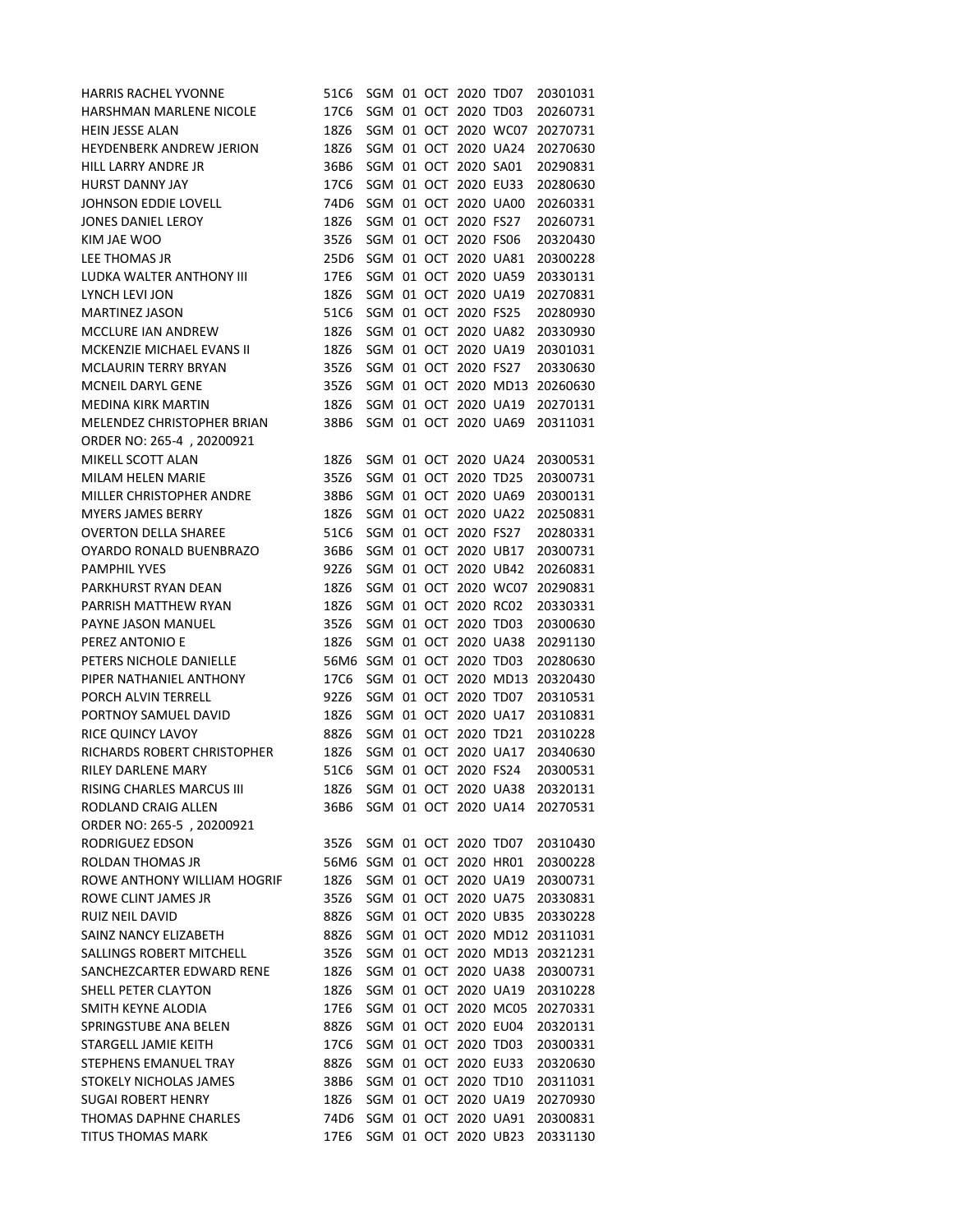| HARRIS RACHEL YVONNE             | 51C6                      |  | SGM 01 OCT 2020 TD07 |                      | 20301031 |
|----------------------------------|---------------------------|--|----------------------|----------------------|----------|
| HARSHMAN MARLENE NICOLE          | 17C6                      |  | SGM 01 OCT 2020 TD03 |                      | 20260731 |
| HEIN JESSE ALAN                  | 18Z6                      |  |                      | SGM 01 OCT 2020 WC07 | 20270731 |
| HEYDENBERK ANDREW JERION         | 18Z6                      |  |                      | SGM 01 OCT 2020 UA24 | 20270630 |
| <b>HILL LARRY ANDRE JR</b>       | 36B6                      |  | SGM 01 OCT 2020 SA01 |                      | 20290831 |
| <b>HURST DANNY JAY</b>           | 17C6                      |  | SGM 01 OCT 2020 EU33 |                      | 20280630 |
| <b>JOHNSON EDDIE LOVELL</b>      | 74D6                      |  |                      | SGM 01 OCT 2020 UA00 | 20260331 |
| JONES DANIEL LEROY               | 18Z6                      |  | SGM 01 OCT 2020 FS27 |                      | 20260731 |
| KIM JAE WOO                      | 35Z6                      |  | SGM 01 OCT 2020 FS06 |                      | 20320430 |
| LEE THOMAS JR                    | 25D6                      |  |                      | SGM 01 OCT 2020 UA81 | 20300228 |
| LUDKA WALTER ANTHONY III         | 17E6                      |  | SGM 01 OCT 2020 UA59 |                      | 20330131 |
| LYNCH LEVI JON                   | 18Z6                      |  |                      | SGM 01 OCT 2020 UA19 | 20270831 |
| <b>MARTINEZ JASON</b>            | 51C6                      |  | SGM 01 OCT 2020 FS25 |                      | 20280930 |
| MCCLURE IAN ANDREW               | 18Z6                      |  |                      | SGM 01 OCT 2020 UA82 | 20330930 |
| MCKENZIE MICHAEL EVANS II        | 18Z6                      |  |                      | SGM 01 OCT 2020 UA19 | 20301031 |
| <b>MCLAURIN TERRY BRYAN</b>      | 35Z6                      |  | SGM 01 OCT 2020 FS27 |                      | 20330630 |
| MCNEIL DARYL GENE                | 35Z6                      |  |                      | SGM 01 OCT 2020 MD13 | 20260630 |
| <b>MEDINA KIRK MARTIN</b>        | 18Z6                      |  |                      | SGM 01 OCT 2020 UA19 | 20270131 |
| MELENDEZ CHRISTOPHER BRIAN       | 38B6                      |  |                      | SGM 01 OCT 2020 UA69 | 20311031 |
| ORDER NO: 265-4, 20200921        |                           |  |                      |                      |          |
| MIKELL SCOTT ALAN                | 18Z6                      |  |                      | SGM 01 OCT 2020 UA24 | 20300531 |
| MILAM HELEN MARIE                | 35Z6                      |  | SGM 01 OCT 2020 TD25 |                      | 20300731 |
| MILLER CHRISTOPHER ANDRE         | 38B6                      |  |                      | SGM 01 OCT 2020 UA69 | 20300131 |
| <b>MYERS JAMES BERRY</b>         | 18Z6                      |  |                      | SGM 01 OCT 2020 UA22 | 20250831 |
| <b>OVERTON DELLA SHAREE</b>      | 51C6                      |  | SGM 01 OCT 2020 FS27 |                      | 20280331 |
| OYARDO RONALD BUENBRAZO          | 36B6                      |  |                      | SGM 01 OCT 2020 UB17 | 20300731 |
| <b>PAMPHIL YVES</b>              | 92Z6                      |  | SGM 01 OCT 2020 UB42 |                      | 20260831 |
| PARKHURST RYAN DEAN              | 18Z6                      |  |                      | SGM 01 OCT 2020 WC07 | 20290831 |
| PARRISH MATTHEW RYAN             | 18Z6                      |  | SGM 01 OCT 2020 RC02 |                      | 20330331 |
| PAYNE JASON MANUEL               | 35Z6                      |  | SGM 01 OCT 2020 TD03 |                      | 20300630 |
| PEREZ ANTONIO E                  | 18Z6                      |  |                      | SGM 01 OCT 2020 UA38 | 20291130 |
| PETERS NICHOLE DANIELLE          | 56M6 SGM 01 OCT 2020 TD03 |  |                      |                      | 20280630 |
| PIPER NATHANIEL ANTHONY          | 17C6                      |  |                      | SGM 01 OCT 2020 MD13 | 20320430 |
| PORCH ALVIN TERRELL              | 92Z6                      |  |                      | SGM 01 OCT 2020 TD07 | 20310531 |
| PORTNOY SAMUEL DAVID             | 18Z6                      |  |                      | SGM 01 OCT 2020 UA17 | 20310831 |
| RICE QUINCY LAVOY                | 88Z6                      |  | SGM 01 OCT 2020 TD21 |                      | 20310228 |
| RICHARDS ROBERT CHRISTOPHER      | 18Z6                      |  |                      | SGM 01 OCT 2020 UA17 | 20340630 |
| RILEY DARLENE MARY               | 51C6                      |  | SGM 01 OCT 2020 FS24 |                      | 20300531 |
| <b>RISING CHARLES MARCUS III</b> | 18Z6                      |  |                      | SGM 01 OCT 2020 UA38 | 20320131 |
| RODLAND CRAIG ALLEN              | 36B6                      |  |                      | SGM 01 OCT 2020 UA14 | 20270531 |
| ORDER NO: 265-5, 20200921        |                           |  |                      |                      |          |
| RODRIGUEZ EDSON                  | 35Z6                      |  | SGM 01 OCT 2020 TD07 |                      | 20310430 |
| ROLDAN THOMAS JR                 | 56M6 SGM 01 OCT 2020 HR01 |  |                      |                      | 20300228 |
| ROWE ANTHONY WILLIAM HOGRIF      | 18Z6                      |  |                      | SGM 01 OCT 2020 UA19 | 20300731 |
| ROWE CLINT JAMES JR              | 35Z6                      |  |                      | SGM 01 OCT 2020 UA75 | 20330831 |
| RUIZ NEIL DAVID                  | 88Z6                      |  | SGM 01 OCT 2020 UB35 |                      | 20330228 |
| SAINZ NANCY ELIZABETH            | 88Z6                      |  |                      | SGM 01 OCT 2020 MD12 | 20311031 |
| SALLINGS ROBERT MITCHELL         | 35Z6                      |  |                      | SGM 01 OCT 2020 MD13 | 20321231 |
| SANCHEZCARTER EDWARD RENE        | 18Z6                      |  |                      | SGM 01 OCT 2020 UA38 | 20300731 |
| SHELL PETER CLAYTON              | 18Z6                      |  |                      | SGM 01 OCT 2020 UA19 | 20310228 |
| SMITH KEYNE ALODIA               | 17E6                      |  |                      | SGM 01 OCT 2020 MC05 | 20270331 |
| SPRINGSTUBE ANA BELEN            | 88Z6                      |  | SGM 01 OCT 2020 EU04 |                      | 20320131 |
| STARGELL JAMIE KEITH             | 17C6                      |  | SGM 01 OCT 2020 TD03 |                      | 20300331 |
| STEPHENS EMANUEL TRAY            | 88Z6                      |  | SGM 01 OCT 2020 EU33 |                      | 20320630 |
| STOKELY NICHOLAS JAMES           | 38B6                      |  | SGM 01 OCT 2020 TD10 |                      | 20311031 |
| <b>SUGAI ROBERT HENRY</b>        | 18Z6                      |  |                      | SGM 01 OCT 2020 UA19 | 20270930 |
| THOMAS DAPHNE CHARLES            | 74D6                      |  |                      | SGM 01 OCT 2020 UA91 | 20300831 |
| <b>TITUS THOMAS MARK</b>         | 17E6                      |  |                      | SGM 01 OCT 2020 UB23 | 20331130 |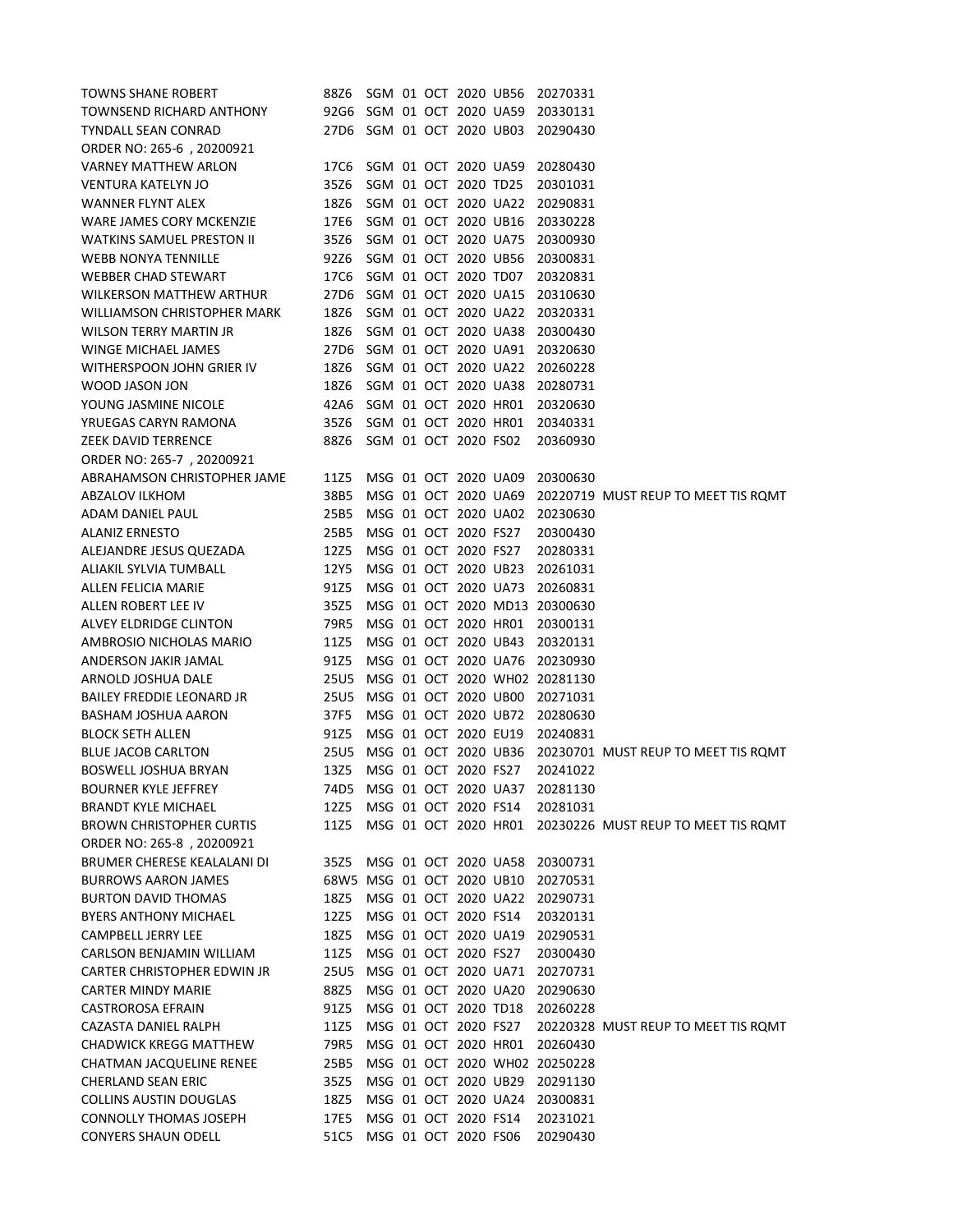| <b>TOWNS SHANE ROBERT</b>        | 88Z6                      |  |                      |                      | SGM 01 OCT 2020 UB56 20270331 |                                                          |
|----------------------------------|---------------------------|--|----------------------|----------------------|-------------------------------|----------------------------------------------------------|
| TOWNSEND RICHARD ANTHONY         | 92G6 SGM 01 OCT 2020 UA59 |  |                      |                      | 20330131                      |                                                          |
| <b>TYNDALL SEAN CONRAD</b>       | 27D6 SGM 01 OCT 2020 UB03 |  |                      |                      | 20290430                      |                                                          |
| ORDER NO: 265-6, 20200921        |                           |  |                      |                      |                               |                                                          |
| <b>VARNEY MATTHEW ARLON</b>      | 17C6                      |  |                      | SGM 01 OCT 2020 UA59 | 20280430                      |                                                          |
| <b>VENTURA KATELYN JO</b>        | 35Z6                      |  |                      | SGM 01 OCT 2020 TD25 | 20301031                      |                                                          |
| <b>WANNER FLYNT ALEX</b>         | 18Z6                      |  |                      | SGM 01 OCT 2020 UA22 | 20290831                      |                                                          |
| WARE JAMES CORY MCKENZIE         | 17E6                      |  |                      | SGM 01 OCT 2020 UB16 | 20330228                      |                                                          |
| <b>WATKINS SAMUEL PRESTON II</b> | 35Z6                      |  |                      | SGM 01 OCT 2020 UA75 | 20300930                      |                                                          |
| <b>WEBB NONYA TENNILLE</b>       | 92Z6                      |  | SGM 01 OCT 2020 UB56 |                      | 20300831                      |                                                          |
| <b>WEBBER CHAD STEWART</b>       | 17C6                      |  |                      | SGM 01 OCT 2020 TD07 | 20320831                      |                                                          |
| WILKERSON MATTHEW ARTHUR         | 27D6                      |  | SGM 01 OCT 2020 UA15 |                      | 20310630                      |                                                          |
| WILLIAMSON CHRISTOPHER MARK      | 18Z6                      |  |                      | SGM 01 OCT 2020 UA22 | 20320331                      |                                                          |
| <b>WILSON TERRY MARTIN JR</b>    | 18Z6                      |  |                      | SGM 01 OCT 2020 UA38 | 20300430                      |                                                          |
| WINGE MICHAEL JAMES              | 27D6                      |  |                      | SGM 01 OCT 2020 UA91 | 20320630                      |                                                          |
| WITHERSPOON JOHN GRIER IV        | 18Z6                      |  |                      | SGM 01 OCT 2020 UA22 | 20260228                      |                                                          |
| <b>WOOD JASON JON</b>            | 18Z6                      |  |                      | SGM 01 OCT 2020 UA38 | 20280731                      |                                                          |
| YOUNG JASMINE NICOLE             | 42A6                      |  |                      | SGM 01 OCT 2020 HR01 | 20320630                      |                                                          |
| YRUEGAS CARYN RAMONA             | 35Z6                      |  |                      | SGM 01 OCT 2020 HR01 | 20340331                      |                                                          |
| <b>ZEEK DAVID TERRENCE</b>       | 88Z6                      |  | SGM 01 OCT 2020 FS02 |                      | 20360930                      |                                                          |
| ORDER NO: 265-7, 20200921        |                           |  |                      |                      |                               |                                                          |
| ABRAHAMSON CHRISTOPHER JAME      | 11Z5                      |  |                      | MSG 01 OCT 2020 UA09 | 20300630                      |                                                          |
| <b>ABZALOV ILKHOM</b>            | 38B5                      |  |                      |                      |                               | MSG 01 OCT 2020 UA69 20220719 MUST REUP TO MEET TIS ROMT |
| ADAM DANIEL PAUL                 | 25B5                      |  |                      | MSG 01 OCT 2020 UA02 | 20230630                      |                                                          |
| <b>ALANIZ ERNESTO</b>            | 25B5                      |  | MSG 01 OCT 2020 FS27 |                      | 20300430                      |                                                          |
| ALEJANDRE JESUS QUEZADA          | 12Z5                      |  | MSG 01 OCT 2020 FS27 |                      | 20280331                      |                                                          |
| ALIAKIL SYLVIA TUMBALL           | 12Y5                      |  | MSG 01 OCT 2020 UB23 |                      | 20261031                      |                                                          |
| ALLEN FELICIA MARIE              | 91Z5                      |  |                      | MSG 01 OCT 2020 UA73 | 20260831                      |                                                          |
| ALLEN ROBERT LEE IV              | 35Z5                      |  |                      |                      | MSG 01 OCT 2020 MD13 20300630 |                                                          |
| ALVEY ELDRIDGE CLINTON           | 79R5                      |  |                      | MSG 01 OCT 2020 HR01 | 20300131                      |                                                          |
| AMBROSIO NICHOLAS MARIO          | 11Z5                      |  |                      | MSG 01 OCT 2020 UB43 | 20320131                      |                                                          |
| ANDERSON JAKIR JAMAL             | 91Z5                      |  |                      | MSG 01 OCT 2020 UA76 | 20230930                      |                                                          |
| ARNOLD JOSHUA DALE               | 25U5 -                    |  |                      |                      | MSG 01 OCT 2020 WH02 20281130 |                                                          |
| <b>BAILEY FREDDIE LEONARD JR</b> | 25U5                      |  |                      | MSG 01 OCT 2020 UB00 | 20271031                      |                                                          |
| <b>BASHAM JOSHUA AARON</b>       | 37F5                      |  | MSG 01 OCT 2020 UB72 |                      | 20280630                      |                                                          |
| <b>BLOCK SETH ALLEN</b>          | 91Z5                      |  |                      | MSG 01 OCT 2020 EU19 | 20240831                      |                                                          |
| <b>BLUE JACOB CARLTON</b>        | 25U5                      |  | MSG 01 OCT 2020 UB36 |                      |                               | 20230701 MUST REUP TO MEET TIS ROMT                      |
| <b>BOSWELL JOSHUA BRYAN</b>      | 13Z5                      |  | MSG 01 OCT 2020 FS27 |                      | 20241022                      |                                                          |
| <b>BOURNER KYLE JEFFREY</b>      | 74D5                      |  |                      | MSG 01 OCT 2020 UA37 | 20281130                      |                                                          |
| <b>BRANDT KYLE MICHAEL</b>       | 12Z5                      |  | MSG 01 OCT 2020 FS14 |                      | 20281031                      |                                                          |
| <b>BROWN CHRISTOPHER CURTIS</b>  | 11Z5                      |  |                      | MSG 01 OCT 2020 HR01 |                               | 20230226 MUST REUP TO MEET TIS ROMT                      |
| ORDER NO: 265-8, 20200921        |                           |  |                      |                      |                               |                                                          |
| BRUMER CHERESE KEALALANI DI      | 35Z5                      |  |                      | MSG 01 OCT 2020 UA58 | 20300731                      |                                                          |
| <b>BURROWS AARON JAMES</b>       | 68W5 MSG 01 OCT 2020 UB10 |  |                      |                      | 20270531                      |                                                          |
| <b>BURTON DAVID THOMAS</b>       | 18Z5                      |  |                      |                      | MSG 01 OCT 2020 UA22 20290731 |                                                          |
| <b>BYERS ANTHONY MICHAEL</b>     | 12Z5                      |  | MSG 01 OCT 2020 FS14 |                      | 20320131                      |                                                          |
| <b>CAMPBELL JERRY LEE</b>        | 18Z5                      |  |                      | MSG 01 OCT 2020 UA19 | 20290531                      |                                                          |
| CARLSON BENJAMIN WILLIAM         | 11Z5                      |  | MSG 01 OCT 2020 FS27 |                      | 20300430                      |                                                          |
| CARTER CHRISTOPHER EDWIN JR      | 25U5                      |  |                      | MSG 01 OCT 2020 UA71 | 20270731                      |                                                          |
| <b>CARTER MINDY MARIE</b>        | 88Z5                      |  |                      | MSG 01 OCT 2020 UA20 | 20290630                      |                                                          |
| <b>CASTROROSA EFRAIN</b>         | 91Z5                      |  | MSG 01 OCT 2020 TD18 |                      | 20260228                      |                                                          |
| CAZASTA DANIEL RALPH             | 11Z5                      |  | MSG 01 OCT 2020 FS27 |                      |                               |                                                          |
|                                  |                           |  |                      |                      |                               | 20220328 MUST REUP TO MEET TIS ROMT                      |
| <b>CHADWICK KREGG MATTHEW</b>    | 79R5                      |  | MSG 01 OCT 2020 HR01 |                      | 20260430                      |                                                          |
| <b>CHATMAN JACQUELINE RENEE</b>  | 25B5                      |  |                      |                      | MSG 01 OCT 2020 WH02 20250228 |                                                          |
| <b>CHERLAND SEAN ERIC</b>        | 35Z5                      |  | MSG 01 OCT 2020 UB29 |                      | 20291130                      |                                                          |
| <b>COLLINS AUSTIN DOUGLAS</b>    | 18Z5                      |  | MSG 01 OCT 2020 FS14 | MSG 01 OCT 2020 UA24 | 20300831                      |                                                          |
| <b>CONNOLLY THOMAS JOSEPH</b>    | 17E5                      |  |                      |                      | 20231021                      |                                                          |
| <b>CONYERS SHAUN ODELL</b>       | 51C5                      |  | MSG 01 OCT 2020 FS06 |                      | 20290430                      |                                                          |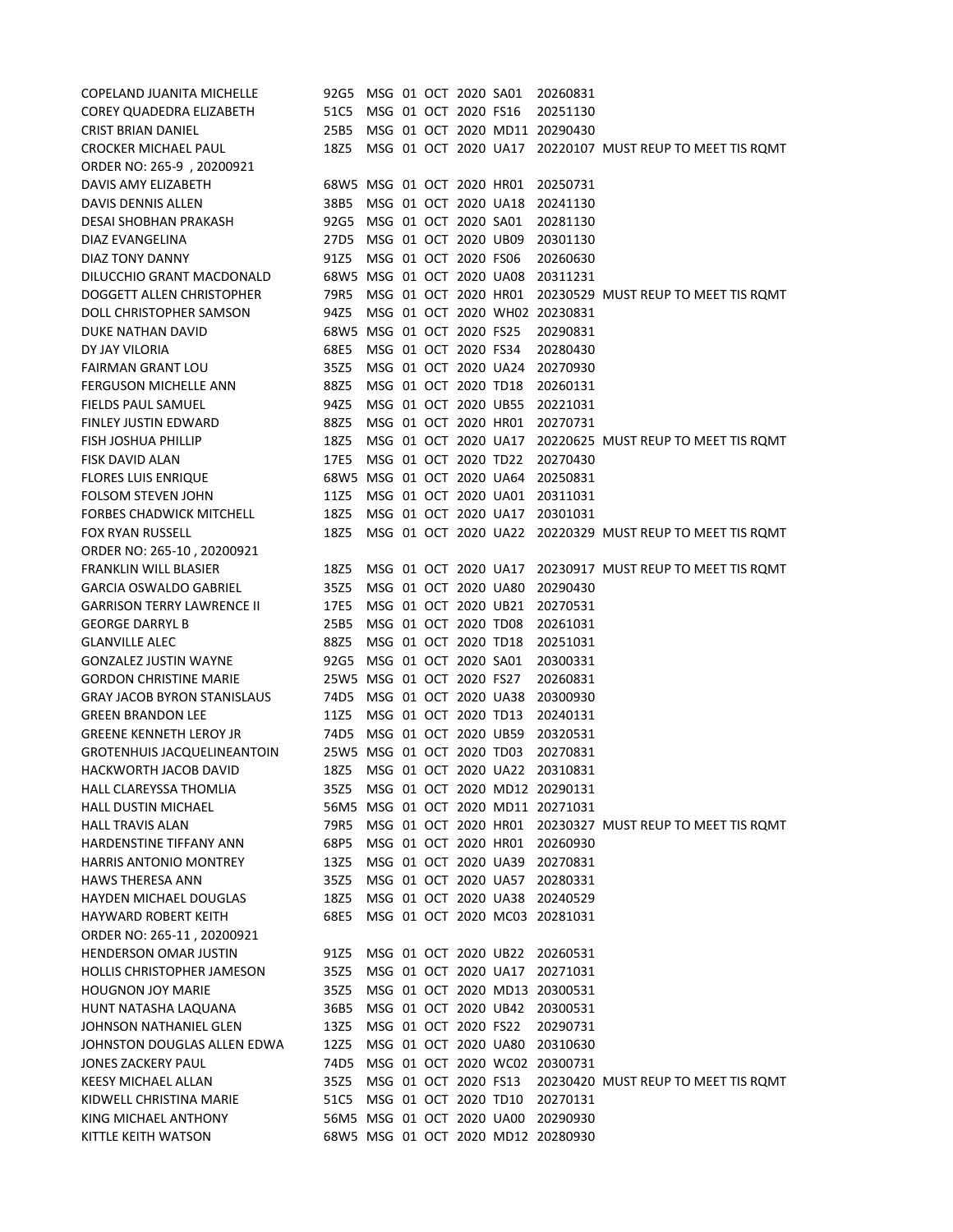| <b>COPELAND JUANITA MICHELLE</b>                         | 92G5.                             |  | MSG 01 OCT 2020 SA01 |                                              | 20260831                           |                                                          |
|----------------------------------------------------------|-----------------------------------|--|----------------------|----------------------------------------------|------------------------------------|----------------------------------------------------------|
| COREY QUADEDRA ELIZABETH                                 | 51C5                              |  | MSG 01 OCT 2020 FS16 |                                              | 20251130                           |                                                          |
| <b>CRIST BRIAN DANIEL</b>                                | 25B5                              |  |                      |                                              | MSG 01 OCT 2020 MD11 20290430      |                                                          |
| <b>CROCKER MICHAEL PAUL</b>                              | 18Z5                              |  |                      |                                              |                                    | MSG 01 OCT 2020 UA17 20220107 MUST REUP TO MEET TIS ROMT |
| ORDER NO: 265-9, 20200921                                |                                   |  |                      |                                              |                                    |                                                          |
| DAVIS AMY ELIZABETH                                      | 68W5 MSG 01 OCT 2020 HR01         |  |                      |                                              | 20250731                           |                                                          |
| <b>DAVIS DENNIS ALLEN</b>                                | 38B5                              |  |                      | MSG 01 OCT 2020 UA18                         | 20241130                           |                                                          |
| <b>DESAI SHOBHAN PRAKASH</b>                             | 92G5                              |  | MSG 01 OCT 2020 SA01 |                                              | 20281130                           |                                                          |
| DIAZ EVANGELINA                                          | 27D5                              |  | MSG 01 OCT 2020 UB09 |                                              | 20301130                           |                                                          |
| DIAZ TONY DANNY                                          | 91Z5                              |  | MSG 01 OCT 2020 FS06 |                                              | 20260630                           |                                                          |
| DILUCCHIO GRANT MACDONALD                                | 68W5 MSG 01 OCT 2020 UA08         |  |                      |                                              | 20311231                           |                                                          |
| DOGGETT ALLEN CHRISTOPHER                                | 79R5                              |  |                      | MSG 01 OCT 2020 HR01                         | MSG 01 OCT 2020 WH02 20230831      | 20230529 MUST REUP TO MEET TIS ROMT                      |
| DOLL CHRISTOPHER SAMSON<br>DUKE NATHAN DAVID             | 94Z5<br>68W5 MSG 01 OCT 2020 FS25 |  |                      |                                              | 20290831                           |                                                          |
| DY JAY VILORIA                                           | 68E5                              |  | MSG 01 OCT 2020 FS34 |                                              | 20280430                           |                                                          |
| <b>FAIRMAN GRANT LOU</b>                                 | 35Z5                              |  |                      | MSG 01 OCT 2020 UA24                         | 20270930                           |                                                          |
| <b>FERGUSON MICHELLE ANN</b>                             | 88Z5                              |  | MSG 01 OCT 2020 TD18 |                                              | 20260131                           |                                                          |
| FIELDS PAUL SAMUEL                                       | 94Z5                              |  |                      | MSG 01 OCT 2020 UB55                         | 20221031                           |                                                          |
| FINLEY JUSTIN EDWARD                                     | 88Z5                              |  |                      | MSG 01 OCT 2020 HR01                         | 20270731                           |                                                          |
| <b>FISH JOSHUA PHILLIP</b>                               | 18Z5                              |  |                      | MSG 01 OCT 2020 UA17                         |                                    | 20220625 MUST REUP TO MEET TIS ROMT                      |
| <b>FISK DAVID ALAN</b>                                   | 17E5                              |  | MSG 01 OCT 2020 TD22 |                                              | 20270430                           |                                                          |
| <b>FLORES LUIS ENRIQUE</b>                               | 68W5 MSG 01 OCT 2020 UA64         |  |                      |                                              | 20250831                           |                                                          |
| <b>FOLSOM STEVEN JOHN</b>                                | 11Z5                              |  |                      | MSG 01 OCT 2020 UA01                         | 20311031                           |                                                          |
| <b>FORBES CHADWICK MITCHELL</b>                          | 18Z5                              |  |                      | MSG 01 OCT 2020 UA17                         | 20301031                           |                                                          |
| <b>FOX RYAN RUSSELL</b>                                  | 18Z5                              |  |                      |                                              |                                    | MSG 01 OCT 2020 UA22 20220329 MUST REUP TO MEET TIS ROMT |
| ORDER NO: 265-10, 20200921                               |                                   |  |                      |                                              |                                    |                                                          |
| <b>FRANKLIN WILL BLASIER</b>                             | 18Z5                              |  |                      | MSG 01 OCT 2020 UA17                         |                                    | 20230917 MUST REUP TO MEET TIS ROMT                      |
| <b>GARCIA OSWALDO GABRIEL</b>                            | 35Z5                              |  |                      | MSG 01 OCT 2020 UA80                         | 20290430                           |                                                          |
| <b>GARRISON TERRY LAWRENCE II</b>                        | 17E5                              |  | MSG 01 OCT 2020 UB21 |                                              | 20270531                           |                                                          |
| <b>GEORGE DARRYL B</b>                                   | 25B5                              |  | MSG 01 OCT 2020 TD08 |                                              | 20261031                           |                                                          |
| <b>GLANVILLE ALEC</b>                                    | 88Z5                              |  | MSG 01 OCT 2020 TD18 |                                              | 20251031                           |                                                          |
| <b>GONZALEZ JUSTIN WAYNE</b>                             | 92G5                              |  | MSG 01 OCT 2020 SA01 |                                              | 20300331                           |                                                          |
| <b>GORDON CHRISTINE MARIE</b>                            | 25W5 MSG 01 OCT 2020 FS27         |  |                      |                                              | 20260831                           |                                                          |
| <b>GRAY JACOB BYRON STANISLAUS</b>                       | 74D5                              |  |                      | MSG 01 OCT 2020 UA38                         | 20300930                           |                                                          |
| <b>GREEN BRANDON LEE</b>                                 | 11Z5                              |  | MSG 01 OCT 2020 TD13 |                                              | 20240131                           |                                                          |
| <b>GREENE KENNETH LEROY JR</b>                           | 74D5                              |  |                      | MSG 01 OCT 2020 UB59                         | 20320531                           |                                                          |
| <b>GROTENHUIS JACQUELINEANTOIN</b>                       | 25W5 MSG 01 OCT 2020 TD03         |  |                      |                                              | 20270831                           |                                                          |
| <b>HACKWORTH JACOB DAVID</b>                             | 18Z5                              |  |                      | MSG 01 OCT 2020 UA22                         | 20310831                           |                                                          |
| <b>HALL CLAREYSSA THOMLIA</b>                            | 35Z5                              |  |                      |                                              | MSG 01 OCT 2020 MD12 20290131      |                                                          |
| <b>HALL DUSTIN MICHAEL</b>                               | 56M5                              |  |                      | MSG 01 OCT 2020 HR01                         | MSG 01 OCT 2020 MD11 20271031      |                                                          |
| <b>HALL TRAVIS ALAN</b>                                  | 79R5                              |  |                      |                                              |                                    | 20230327 MUST REUP TO MEET TIS ROMT                      |
| HARDENSTINE TIFFANY ANN<br><b>HARRIS ANTONIO MONTREY</b> | 68P5<br>13Z5                      |  |                      | MSG 01 OCT 2020 HR01<br>MSG 01 OCT 2020 UA39 | 20260930<br>20270831               |                                                          |
| <b>HAWS THERESA ANN</b>                                  | 35Z5                              |  |                      | MSG 01 OCT 2020 UA57                         | 20280331                           |                                                          |
| <b>HAYDEN MICHAEL DOUGLAS</b>                            | 18Z5                              |  |                      | MSG 01 OCT 2020 UA38                         | 20240529                           |                                                          |
| <b>HAYWARD ROBERT KEITH</b>                              | 68E5                              |  |                      |                                              | MSG 01 OCT 2020 MC03 20281031      |                                                          |
| ORDER NO: 265-11, 20200921                               |                                   |  |                      |                                              |                                    |                                                          |
| <b>HENDERSON OMAR JUSTIN</b>                             | 91Z5                              |  |                      | MSG 01 OCT 2020 UB22                         | 20260531                           |                                                          |
| <b>HOLLIS CHRISTOPHER JAMESON</b>                        | 35Z5                              |  |                      | MSG 01 OCT 2020 UA17                         | 20271031                           |                                                          |
| <b>HOUGNON JOY MARIE</b>                                 | 35Z5                              |  |                      |                                              | MSG 01 OCT 2020 MD13 20300531      |                                                          |
| HUNT NATASHA LAQUANA                                     | 36B5                              |  |                      | MSG 01 OCT 2020 UB42                         | 20300531                           |                                                          |
| JOHNSON NATHANIEL GLEN                                   | 13Z5                              |  | MSG 01 OCT 2020 FS22 |                                              | 20290731                           |                                                          |
| JOHNSTON DOUGLAS ALLEN EDWA                              | 12Z5                              |  |                      | MSG 01 OCT 2020 UA80                         | 20310630                           |                                                          |
| <b>JONES ZACKERY PAUL</b>                                | 74D5                              |  |                      |                                              | MSG 01 OCT 2020 WC02 20300731      |                                                          |
| <b>KEESY MICHAEL ALLAN</b>                               | 35Z5                              |  | MSG 01 OCT 2020 FS13 |                                              |                                    | 20230420 MUST REUP TO MEET TIS ROMT                      |
| KIDWELL CHRISTINA MARIE                                  | 51C5                              |  | MSG 01 OCT 2020 TD10 |                                              | 20270131                           |                                                          |
| KING MICHAEL ANTHONY                                     | 56M5 MSG 01 OCT 2020 UA00         |  |                      |                                              | 20290930                           |                                                          |
| KITTLE KEITH WATSON                                      |                                   |  |                      |                                              | 68W5 MSG 01 OCT 2020 MD12 20280930 |                                                          |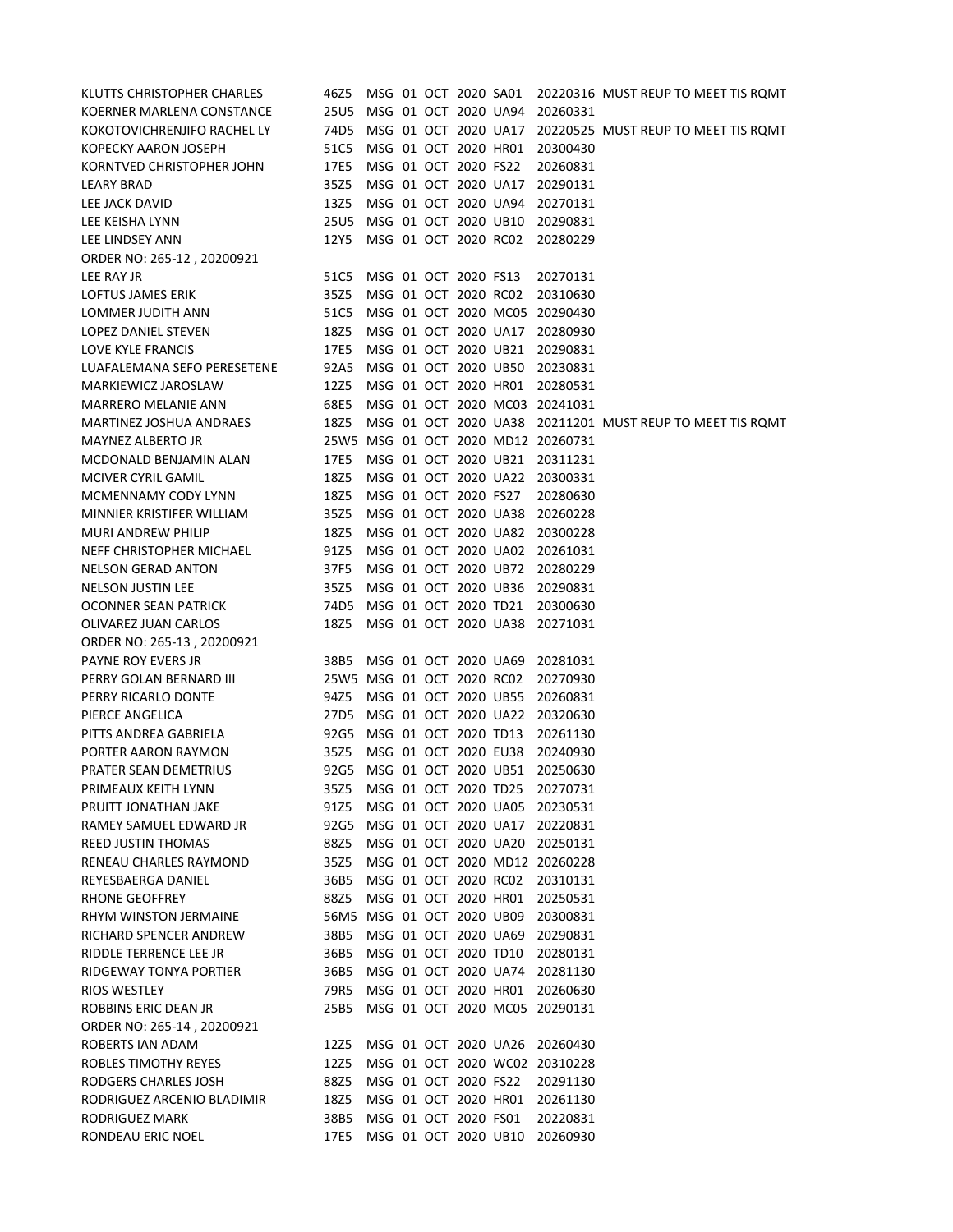| KLUTTS CHRISTOPHER CHARLES  | 46Z5                      |  |                      | MSG 01 OCT 2020 SA01      |                                    | 20220316 MUST REUP TO MEET TIS ROMT                      |
|-----------------------------|---------------------------|--|----------------------|---------------------------|------------------------------------|----------------------------------------------------------|
| KOERNER MARLENA CONSTANCE   | <b>25U5</b>               |  |                      | MSG 01 OCT 2020 UA94      | 20260331                           |                                                          |
| KOKOTOVICHRENJIFO RACHEL LY | 74D5                      |  |                      | MSG 01 OCT 2020 UA17      |                                    | 20220525 MUST REUP TO MEET TIS ROMT                      |
| <b>KOPECKY AARON JOSEPH</b> | 51C5                      |  |                      | MSG 01 OCT 2020 HR01      | 20300430                           |                                                          |
| KORNTVED CHRISTOPHER JOHN   | 17E5                      |  | MSG 01 OCT 2020 FS22 |                           | 20260831                           |                                                          |
| <b>LEARY BRAD</b>           | 35Z5                      |  |                      | MSG 01 OCT 2020 UA17      | 20290131                           |                                                          |
| LEE JACK DAVID              | 13Z5                      |  |                      | MSG 01 OCT 2020 UA94      | 20270131                           |                                                          |
| LEE KEISHA LYNN             | 25U5 MSG 01 OCT 2020 UB10 |  |                      |                           | 20290831                           |                                                          |
| LEE LINDSEY ANN             | 12Y5                      |  |                      | MSG 01 OCT 2020 RC02      | 20280229                           |                                                          |
| ORDER NO: 265-12, 20200921  |                           |  |                      |                           |                                    |                                                          |
| LEE RAY JR                  | 51C5                      |  | MSG 01 OCT 2020 FS13 |                           | 20270131                           |                                                          |
| LOFTUS JAMES ERIK           | 35Z5                      |  | MSG 01 OCT 2020 RC02 |                           | 20310630                           |                                                          |
| LOMMER JUDITH ANN           | 51C5                      |  |                      |                           | MSG 01 OCT 2020 MC05 20290430      |                                                          |
| LOPEZ DANIEL STEVEN         | 18Z5                      |  |                      |                           | MSG 01 OCT 2020 UA17 20280930      |                                                          |
| LOVE KYLE FRANCIS           | 17E5                      |  |                      | MSG 01 OCT 2020 UB21      | 20290831                           |                                                          |
| LUAFALEMANA SEFO PERESETENE | 92A5                      |  |                      | MSG 01 OCT 2020 UB50      | 20230831                           |                                                          |
| MARKIEWICZ JAROSLAW         | 12Z5                      |  |                      | MSG 01 OCT 2020 HR01      | 20280531                           |                                                          |
| <b>MARRERO MELANIE ANN</b>  | 68E5                      |  |                      |                           | MSG 01 OCT 2020 MC03 20241031      |                                                          |
| MARTINEZ JOSHUA ANDRAES     | 18Z5                      |  |                      |                           |                                    | MSG 01 OCT 2020 UA38 20211201 MUST REUP TO MEET TIS ROMT |
| MAYNEZ ALBERTO JR           |                           |  |                      |                           | 25W5 MSG 01 OCT 2020 MD12 20260731 |                                                          |
| MCDONALD BENJAMIN ALAN      | 17E5                      |  |                      | MSG 01 OCT 2020 UB21      | 20311231                           |                                                          |
| <b>MCIVER CYRIL GAMIL</b>   | 18Z5                      |  |                      |                           | MSG 01 OCT 2020 UA22 20300331      |                                                          |
| MCMENNAMY CODY LYNN         | 18Z5                      |  | MSG 01 OCT 2020 FS27 |                           | 20280630                           |                                                          |
| MINNIER KRISTIFER WILLIAM   | 35Z5                      |  |                      | MSG 01 OCT 2020 UA38      | 20260228                           |                                                          |
| <b>MURI ANDREW PHILIP</b>   | 18Z5                      |  |                      | MSG 01 OCT 2020 UA82      | 20300228                           |                                                          |
| NEFF CHRISTOPHER MICHAEL    | 91Z5                      |  |                      | MSG 01 OCT 2020 UA02      | 20261031                           |                                                          |
| <b>NELSON GERAD ANTON</b>   | 37F5                      |  |                      | MSG 01 OCT 2020 UB72      | 20280229                           |                                                          |
| <b>NELSON JUSTIN LEE</b>    | 35Z5                      |  |                      | MSG 01 OCT 2020 UB36      | 20290831                           |                                                          |
| <b>OCONNER SEAN PATRICK</b> | 74D5                      |  |                      | MSG 01 OCT 2020 TD21      | 20300630                           |                                                          |
| OLIVAREZ JUAN CARLOS        | 18Z5                      |  |                      |                           | MSG 01 OCT 2020 UA38 20271031      |                                                          |
| ORDER NO: 265-13, 20200921  |                           |  |                      |                           |                                    |                                                          |
| <b>PAYNE ROY EVERS JR</b>   |                           |  |                      |                           | 38B5 MSG 01 OCT 2020 UA69 20281031 |                                                          |
| PERRY GOLAN BERNARD III     |                           |  |                      |                           | 25W5 MSG 01 OCT 2020 RC02 20270930 |                                                          |
| PERRY RICARLO DONTE         | 94Z5                      |  |                      | MSG 01 OCT 2020 UB55      | 20260831                           |                                                          |
| PIERCE ANGELICA             | 27D5                      |  |                      | MSG 01 OCT 2020 UA22      | 20320630                           |                                                          |
| PITTS ANDREA GABRIELA       | 92G5                      |  |                      | MSG 01 OCT 2020 TD13      | 20261130                           |                                                          |
| PORTER AARON RAYMON         | 35Z5                      |  |                      | MSG 01 OCT 2020 EU38      | 20240930                           |                                                          |
| PRATER SEAN DEMETRIUS       | 92G5                      |  |                      | MSG 01 OCT 2020 UB51      | 20250630                           |                                                          |
| PRIMEAUX KEITH LYNN         | 35Z5                      |  |                      |                           | MSG 01 OCT 2020 TD25 20270731      |                                                          |
| PRUITT JONATHAN JAKE        | 91Z5                      |  |                      | MSG 01 OCT 2020 UA05      | 20230531                           |                                                          |
| RAMEY SAMUEL EDWARD JR      | 92G5                      |  |                      | MSG 01 OCT 2020 UA17      | 20220831                           |                                                          |
| REED JUSTIN THOMAS          | 88Z5                      |  |                      |                           | MSG 01 OCT 2020 UA20 20250131      |                                                          |
| RENEAU CHARLES RAYMOND      | 35Z5                      |  |                      |                           | MSG 01 OCT 2020 MD12 20260228      |                                                          |
| REYESBAERGA DANIEL          | 36B5                      |  |                      | MSG 01 OCT 2020 RC02      | 20310131                           |                                                          |
| RHONE GEOFFREY              | 88Z5                      |  |                      | MSG 01 OCT 2020 HR01      | 20250531                           |                                                          |
| RHYM WINSTON JERMAINE       |                           |  |                      | 56M5 MSG 01 OCT 2020 UB09 | 20300831                           |                                                          |
| RICHARD SPENCER ANDREW      | 38B5                      |  |                      |                           | MSG 01 OCT 2020 UA69 20290831      |                                                          |
| RIDDLE TERRENCE LEE JR      | 36B5                      |  |                      | MSG 01 OCT 2020 TD10      | 20280131                           |                                                          |
| RIDGEWAY TONYA PORTIER      | 36B5                      |  |                      |                           | MSG 01 OCT 2020 UA74 20281130      |                                                          |
| RIOS WESTLEY                | 79R5                      |  |                      |                           | MSG 01 OCT 2020 HR01 20260630      |                                                          |
| ROBBINS ERIC DEAN JR        | 25B5                      |  |                      |                           | MSG 01 OCT 2020 MC05 20290131      |                                                          |
| ORDER NO: 265-14, 20200921  |                           |  |                      |                           |                                    |                                                          |
| ROBERTS IAN ADAM            | 12Z5                      |  |                      |                           | MSG 01 OCT 2020 UA26 20260430      |                                                          |
| ROBLES TIMOTHY REYES        | 12Z5                      |  |                      |                           | MSG 01 OCT 2020 WC02 20310228      |                                                          |
| RODGERS CHARLES JOSH        | 88Z5                      |  |                      | MSG 01 OCT 2020 FS22      | 20291130                           |                                                          |
| RODRIGUEZ ARCENIO BLADIMIR  | 18Z5                      |  |                      | MSG 01 OCT 2020 HR01      | 20261130                           |                                                          |
| RODRIGUEZ MARK              | 38B5                      |  | MSG 01 OCT 2020 FS01 |                           | 20220831                           |                                                          |
| RONDEAU ERIC NOEL           | 17E5                      |  |                      |                           | MSG 01 OCT 2020 UB10 20260930      |                                                          |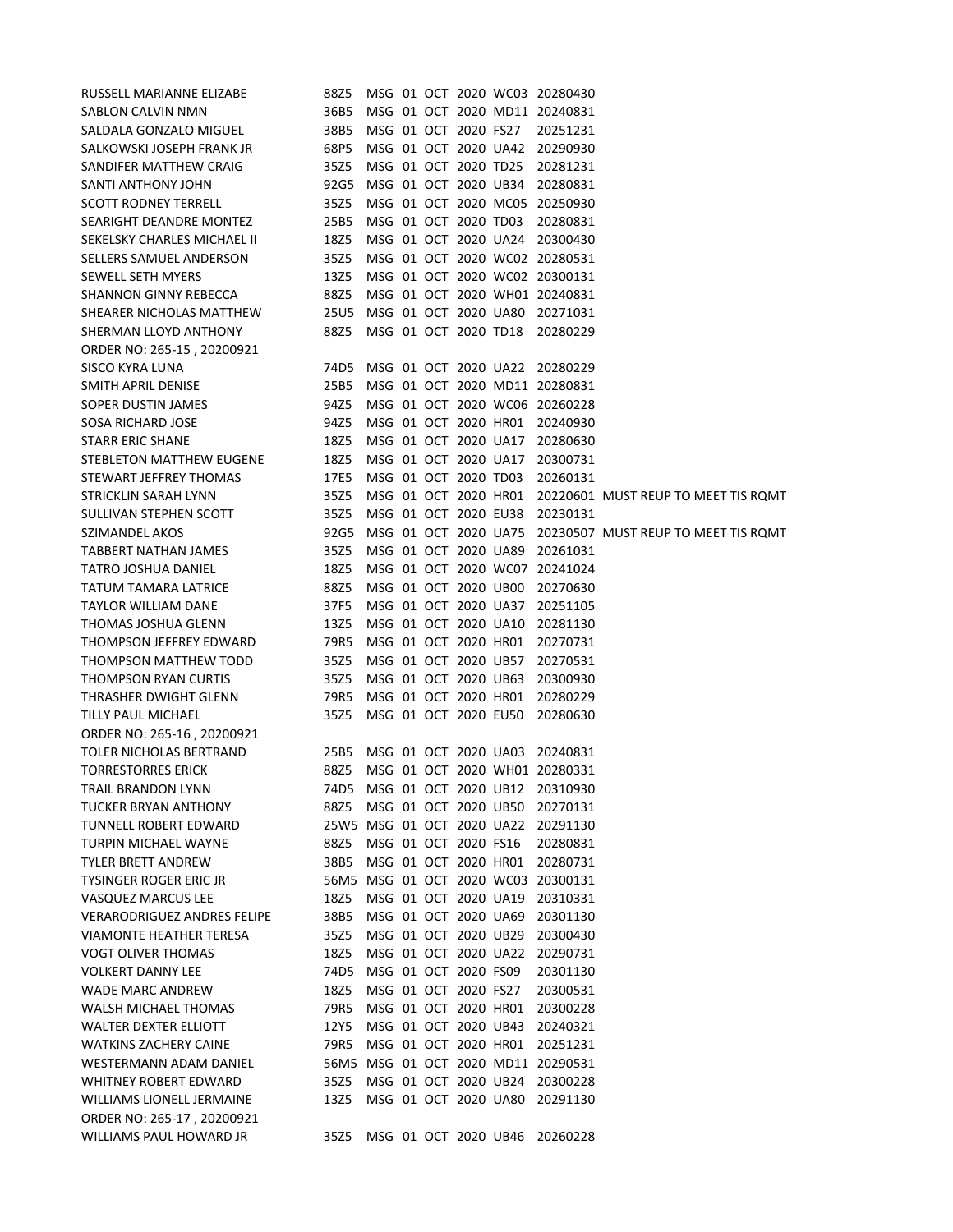| RUSSELL MARIANNE ELIZABE           | 88Z5                      |  |                      |                      | MSG 01 OCT 2020 WC03 20280430      |                                     |
|------------------------------------|---------------------------|--|----------------------|----------------------|------------------------------------|-------------------------------------|
| SABLON CALVIN NMN                  | 36B5                      |  |                      |                      | MSG 01 OCT 2020 MD11 20240831      |                                     |
| SALDALA GONZALO MIGUEL             | 38B5                      |  | MSG 01 OCT 2020 FS27 |                      | 20251231                           |                                     |
| SALKOWSKI JOSEPH FRANK JR          | 68P5                      |  |                      | MSG 01 OCT 2020 UA42 | 20290930                           |                                     |
| SANDIFER MATTHEW CRAIG             | 35Z5                      |  | MSG 01 OCT 2020 TD25 |                      | 20281231                           |                                     |
| SANTI ANTHONY JOHN                 | 92G5                      |  | MSG 01 OCT 2020 UB34 |                      | 20280831                           |                                     |
| <b>SCOTT RODNEY TERRELL</b>        | 35Z5                      |  |                      | MSG 01 OCT 2020 MC05 | 20250930                           |                                     |
| <b>SEARIGHT DEANDRE MONTEZ</b>     | 25B5                      |  | MSG 01 OCT 2020 TD03 |                      | 20280831                           |                                     |
| <b>SEKELSKY CHARLES MICHAEL II</b> | 18Z5                      |  |                      | MSG 01 OCT 2020 UA24 | 20300430                           |                                     |
| SELLERS SAMUEL ANDERSON            | 35Z5                      |  |                      |                      | MSG 01 OCT 2020 WC02 20280531      |                                     |
| <b>SEWELL SETH MYERS</b>           | 13Z5                      |  |                      |                      | MSG 01 OCT 2020 WC02 20300131      |                                     |
| <b>SHANNON GINNY REBECCA</b>       | 88Z5                      |  |                      |                      | MSG 01 OCT 2020 WH01 20240831      |                                     |
| SHEARER NICHOLAS MATTHEW           | 25U5                      |  |                      | MSG 01 OCT 2020 UA80 | 20271031                           |                                     |
| SHERMAN LLOYD ANTHONY              | 88Z5                      |  | MSG 01 OCT 2020 TD18 |                      | 20280229                           |                                     |
| ORDER NO: 265-15, 20200921         |                           |  |                      |                      |                                    |                                     |
| <b>SISCO KYRA LUNA</b>             | 74D5                      |  |                      | MSG 01 OCT 2020 UA22 | 20280229                           |                                     |
| SMITH APRIL DENISE                 | 25B5                      |  |                      |                      | MSG 01 OCT 2020 MD11 20280831      |                                     |
| SOPER DUSTIN JAMES                 | 94Z5                      |  |                      |                      | MSG 01 OCT 2020 WC06 20260228      |                                     |
| <b>SOSA RICHARD JOSE</b>           | 94Z5                      |  |                      | MSG 01 OCT 2020 HR01 | 20240930                           |                                     |
| <b>STARR ERIC SHANE</b>            | 18Z5                      |  |                      | MSG 01 OCT 2020 UA17 | 20280630                           |                                     |
| STEBLETON MATTHEW EUGENE           | 18Z5                      |  |                      | MSG 01 OCT 2020 UA17 | 20300731                           |                                     |
| STEWART JEFFREY THOMAS             | 17E5                      |  | MSG 01 OCT 2020 TD03 |                      | 20260131                           |                                     |
| STRICKLIN SARAH LYNN               | 35Z5                      |  |                      | MSG 01 OCT 2020 HR01 |                                    | 20220601 MUST REUP TO MEET TIS ROMT |
| SULLIVAN STEPHEN SCOTT             | 35Z5                      |  | MSG 01 OCT 2020 EU38 |                      | 20230131                           |                                     |
| SZIMANDEL AKOS                     | 92G5                      |  |                      | MSG 01 OCT 2020 UA75 |                                    | 20230507 MUST REUP TO MEET TIS ROMT |
| TABBERT NATHAN JAMES               | 35Z5                      |  |                      | MSG 01 OCT 2020 UA89 | 20261031                           |                                     |
| TATRO JOSHUA DANIEL                | 18Z5                      |  |                      | MSG 01 OCT 2020 WC07 | 20241024                           |                                     |
| TATUM TAMARA LATRICE               | 88Z5                      |  | MSG 01 OCT 2020 UB00 |                      | 20270630                           |                                     |
| <b>TAYLOR WILLIAM DANE</b>         | 37F5                      |  |                      | MSG 01 OCT 2020 UA37 | 20251105                           |                                     |
| THOMAS JOSHUA GLENN                | 13Z5                      |  | MSG 01 OCT 2020 UA10 |                      | 20281130                           |                                     |
| THOMPSON JEFFREY EDWARD            | 79R5                      |  | MSG 01 OCT 2020 HR01 |                      | 20270731                           |                                     |
| THOMPSON MATTHEW TODD              | 35Z5                      |  | MSG 01 OCT 2020 UB57 |                      | 20270531                           |                                     |
| <b>THOMPSON RYAN CURTIS</b>        | 35Z5                      |  | MSG 01 OCT 2020 UB63 |                      | 20300930                           |                                     |
| THRASHER DWIGHT GLENN              | 79R5                      |  |                      | MSG 01 OCT 2020 HR01 | 20280229                           |                                     |
| <b>TILLY PAUL MICHAEL</b>          | 35Z5                      |  |                      | MSG 01 OCT 2020 EU50 | 20280630                           |                                     |
| ORDER NO: 265-16, 20200921         |                           |  |                      |                      |                                    |                                     |
| TOLER NICHOLAS BERTRAND            | 25B5                      |  |                      | MSG 01 OCT 2020 UA03 | 20240831                           |                                     |
| <b>TORRESTORRES ERICK</b>          | 88Z5                      |  |                      |                      | MSG 01 OCT 2020 WH01 20280331      |                                     |
| <b>TRAIL BRANDON LYNN</b>          | 74D5                      |  |                      | MSG 01 OCT 2020 UB12 | 20310930                           |                                     |
| <b>TUCKER BRYAN ANTHONY</b>        | 88Z5                      |  |                      | MSG 01 OCT 2020 UB50 | 20270131                           |                                     |
| <b>TUNNELL ROBERT EDWARD</b>       | 25W5 MSG 01 OCT 2020 UA22 |  |                      |                      | 20291130                           |                                     |
| <b>TURPIN MICHAEL WAYNE</b>        | 88Z5                      |  | MSG 01 OCT 2020 FS16 |                      | 20280831                           |                                     |
| <b>TYLER BRETT ANDREW</b>          | 38B5                      |  |                      | MSG 01 OCT 2020 HR01 | 20280731                           |                                     |
| <b>TYSINGER ROGER ERIC JR</b>      |                           |  |                      |                      | 56M5 MSG 01 OCT 2020 WC03 20300131 |                                     |
| VASQUEZ MARCUS LEE                 | 18Z5                      |  |                      | MSG 01 OCT 2020 UA19 | 20310331                           |                                     |
| <b>VERARODRIGUEZ ANDRES FELIPE</b> | 38B5                      |  |                      | MSG 01 OCT 2020 UA69 | 20301130                           |                                     |
| VIAMONTE HEATHER TERESA            | 35Z5                      |  | MSG 01 OCT 2020 UB29 |                      | 20300430                           |                                     |
| <b>VOGT OLIVER THOMAS</b>          | 18Z5                      |  |                      | MSG 01 OCT 2020 UA22 | 20290731                           |                                     |
| <b>VOLKERT DANNY LEE</b>           | 74D5                      |  | MSG 01 OCT 2020 FS09 |                      | 20301130                           |                                     |
| <b>WADE MARC ANDREW</b>            | 18Z5                      |  | MSG 01 OCT 2020 FS27 |                      | 20300531                           |                                     |
| WALSH MICHAEL THOMAS               | 79R5                      |  |                      | MSG 01 OCT 2020 HR01 | 20300228                           |                                     |
| <b>WALTER DEXTER ELLIOTT</b>       | 12Y5                      |  |                      | MSG 01 OCT 2020 UB43 | 20240321                           |                                     |
| <b>WATKINS ZACHERY CAINE</b>       | 79R5                      |  | MSG 01 OCT 2020 HR01 |                      | 20251231                           |                                     |
| WESTERMANN ADAM DANIEL             |                           |  |                      |                      | 56M5 MSG 01 OCT 2020 MD11 20290531 |                                     |
| <b>WHITNEY ROBERT EDWARD</b>       | 35Z5                      |  |                      | MSG 01 OCT 2020 UB24 | 20300228                           |                                     |
| <b>WILLIAMS LIONELL JERMAINE</b>   | 13Z5                      |  |                      | MSG 01 OCT 2020 UA80 | 20291130                           |                                     |
| ORDER NO: 265-17, 20200921         |                           |  |                      |                      |                                    |                                     |
| WILLIAMS PAUL HOWARD JR            | 35Z5                      |  |                      | MSG 01 OCT 2020 UB46 | 20260228                           |                                     |
|                                    |                           |  |                      |                      |                                    |                                     |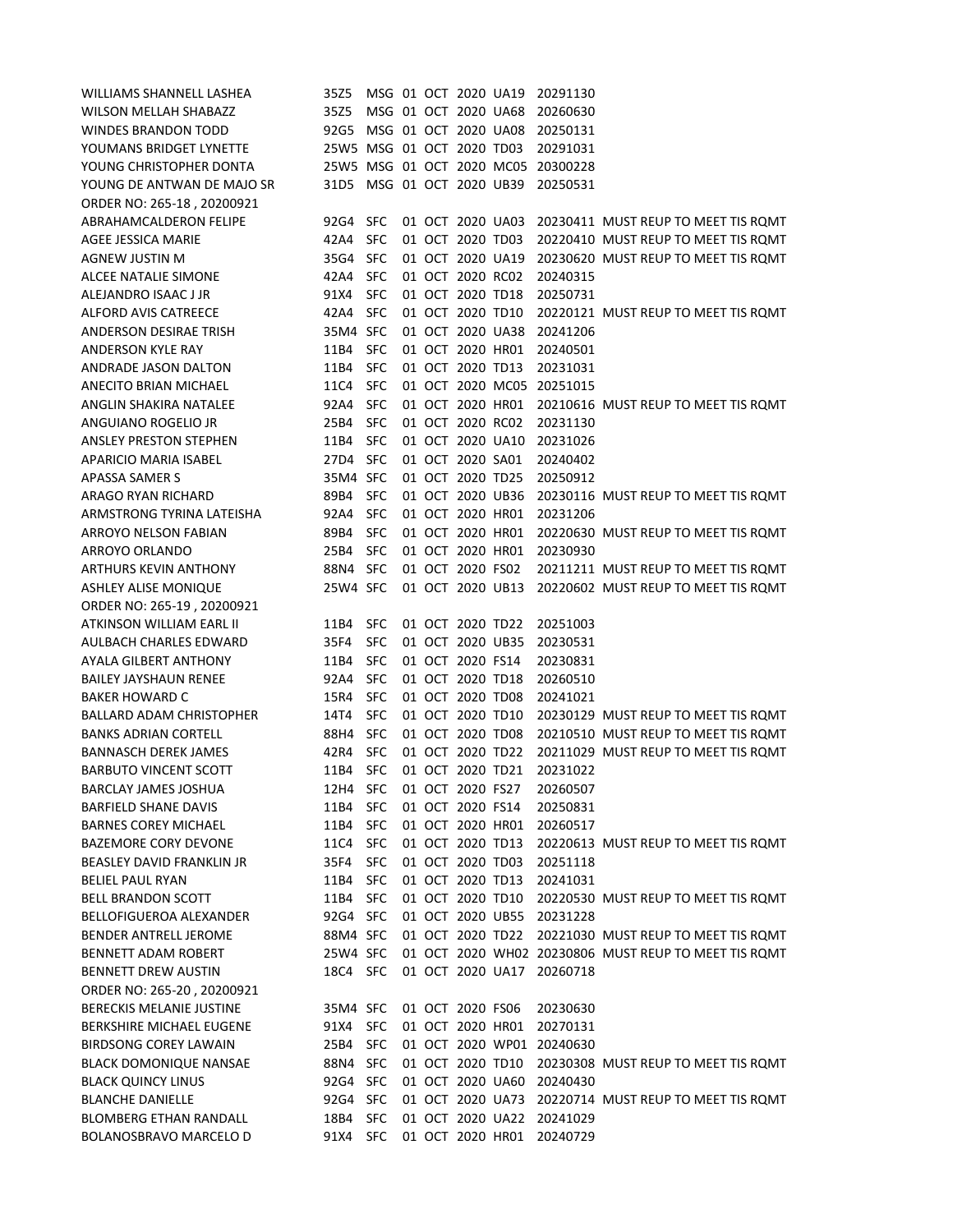| WILLIAMS SHANNELL LASHEA                                    | 35Z5                      |            |  |                      | MSG 01 OCT 2020 UA19 | 20291130 |                                                                            |
|-------------------------------------------------------------|---------------------------|------------|--|----------------------|----------------------|----------|----------------------------------------------------------------------------|
| <b>WILSON MELLAH SHABAZZ</b>                                | 35Z5                      |            |  | MSG 01 OCT 2020 UA68 |                      | 20260630 |                                                                            |
| <b>WINDES BRANDON TODD</b>                                  | 92G5                      |            |  |                      | MSG 01 OCT 2020 UA08 | 20250131 |                                                                            |
| YOUMANS BRIDGET LYNETTE                                     | 25W5 MSG 01 OCT 2020 TD03 |            |  |                      |                      | 20291031 |                                                                            |
| YOUNG CHRISTOPHER DONTA                                     | 25W5 MSG 01 OCT 2020 MC05 |            |  |                      |                      | 20300228 |                                                                            |
| YOUNG DE ANTWAN DE MAJO SR                                  | 31D5 MSG 01 OCT 2020 UB39 |            |  |                      |                      | 20250531 |                                                                            |
| ORDER NO: 265-18, 20200921                                  |                           |            |  |                      |                      |          |                                                                            |
| <b>ABRAHAMCALDERON FELIPE</b>                               | 92G4 SFC                  |            |  |                      | 01 OCT 2020 UA03     |          | 20230411 MUST REUP TO MEET TIS ROMT                                        |
| AGEE JESSICA MARIE                                          | 42A4 SFC                  |            |  | 01 OCT 2020 TD03     |                      |          | 20220410 MUST REUP TO MEET TIS ROMT                                        |
| AGNEW JUSTIN M                                              | 35G4 SFC                  |            |  |                      | 01 OCT 2020 UA19     |          | 20230620 MUST REUP TO MEET TIS ROMT                                        |
| <b>ALCEE NATALIE SIMONE</b>                                 | 42A4                      | <b>SFC</b> |  | 01 OCT 2020 RC02     |                      | 20240315 |                                                                            |
| ALEJANDRO ISAAC J JR                                        | 91X4                      | <b>SFC</b> |  | 01 OCT 2020 TD18     |                      | 20250731 |                                                                            |
| ALFORD AVIS CATREECE                                        | 42A4 SFC                  |            |  | 01 OCT 2020 TD10     |                      |          | 20220121 MUST REUP TO MEET TIS ROMT                                        |
| ANDERSON DESIRAE TRISH                                      | 35M4 SFC                  |            |  |                      | 01 OCT 2020 UA38     | 20241206 |                                                                            |
| <b>ANDERSON KYLE RAY</b>                                    | 11B4                      | <b>SFC</b> |  |                      | 01 OCT 2020 HR01     | 20240501 |                                                                            |
| ANDRADE JASON DALTON                                        | 11B4                      | <b>SFC</b> |  | 01 OCT 2020 TD13     |                      | 20231031 |                                                                            |
| ANECITO BRIAN MICHAEL                                       | 11C4                      | <b>SFC</b> |  |                      | 01 OCT 2020 MC05     | 20251015 |                                                                            |
| ANGLIN SHAKIRA NATALEE                                      | 92A4 SFC                  |            |  |                      | 01 OCT 2020 HR01     |          | 20210616 MUST REUP TO MEET TIS ROMT                                        |
| ANGUIANO ROGELIO JR                                         | 25B4                      | <b>SFC</b> |  | 01 OCT 2020 RC02     |                      | 20231130 |                                                                            |
| <b>ANSLEY PRESTON STEPHEN</b>                               | 11B4                      | <b>SFC</b> |  |                      | 01 OCT 2020 UA10     | 20231026 |                                                                            |
| APARICIO MARIA ISABEL                                       | 27D4 SFC                  |            |  | 01 OCT 2020 SA01     |                      | 20240402 |                                                                            |
| <b>APASSA SAMER S</b>                                       | 35M4 SFC                  |            |  | 01 OCT 2020 TD25     |                      | 20250912 |                                                                            |
| <b>ARAGO RYAN RICHARD</b>                                   | 89B4                      | <b>SFC</b> |  |                      | 01 OCT 2020 UB36     |          | 20230116 MUST REUP TO MEET TIS ROMT                                        |
| ARMSTRONG TYRINA LATEISHA                                   | 92A4                      | <b>SFC</b> |  | 01 OCT 2020 HR01     |                      | 20231206 |                                                                            |
| <b>ARROYO NELSON FABIAN</b>                                 | 89B4                      | <b>SFC</b> |  | 01 OCT 2020 HR01     |                      |          | 20220630 MUST REUP TO MEET TIS ROMT                                        |
| ARROYO ORLANDO                                              | 25B4                      | <b>SFC</b> |  |                      | 01 OCT 2020 HR01     | 20230930 |                                                                            |
| <b>ARTHURS KEVIN ANTHONY</b><br><b>ASHLEY ALISE MONIQUE</b> | 88N4 SFC<br>25W4 SFC      |            |  | 01 OCT 2020 FS02     | 01 OCT 2020 UB13     |          | 20211211 MUST REUP TO MEET TIS ROMT<br>20220602 MUST REUP TO MEET TIS ROMT |
| ORDER NO: 265-19, 20200921                                  |                           |            |  |                      |                      |          |                                                                            |
| ATKINSON WILLIAM EARL II                                    | 11B4                      | <b>SFC</b> |  | 01 OCT 2020 TD22     |                      | 20251003 |                                                                            |
| AULBACH CHARLES EDWARD                                      | 35F4                      | <b>SFC</b> |  | 01 OCT 2020 UB35     |                      | 20230531 |                                                                            |
| <b>AYALA GILBERT ANTHONY</b>                                | 11B4                      | <b>SFC</b> |  | 01 OCT 2020 FS14     |                      | 20230831 |                                                                            |
| <b>BAILEY JAYSHAUN RENEE</b>                                | 92A4                      | <b>SFC</b> |  | 01 OCT 2020 TD18     |                      | 20260510 |                                                                            |
| <b>BAKER HOWARD C</b>                                       | 15R4                      | <b>SFC</b> |  | 01 OCT 2020 TD08     |                      | 20241021 |                                                                            |
| BALLARD ADAM CHRISTOPHER                                    | 14T4                      | <b>SFC</b> |  | 01 OCT 2020 TD10     |                      |          | 20230129 MUST REUP TO MEET TIS ROMT                                        |
| <b>BANKS ADRIAN CORTELL</b>                                 | 88H4                      | <b>SFC</b> |  | 01 OCT 2020 TD08     |                      |          | 20210510 MUST REUP TO MEET TIS ROMT                                        |
| <b>BANNASCH DEREK JAMES</b>                                 | 42R4                      | <b>SFC</b> |  | 01 OCT 2020 TD22     |                      |          | 20211029 MUST REUP TO MEET TIS ROMT                                        |
| <b>BARBUTO VINCENT SCOTT</b>                                | 11B4                      | <b>SFC</b> |  | 01 OCT 2020 TD21     |                      | 20231022 |                                                                            |
| <b>BARCLAY JAMES JOSHUA</b>                                 | 12H4                      | <b>SFC</b> |  | 01 OCT 2020 FS27     |                      | 20260507 |                                                                            |
| <b>BARFIELD SHANE DAVIS</b>                                 | 11B4                      | <b>SFC</b> |  | 01 OCT 2020 FS14     |                      | 20250831 |                                                                            |
| <b>BARNES COREY MICHAEL</b>                                 | 11B4                      | <b>SFC</b> |  | 01 OCT 2020 HR01     |                      | 20260517 |                                                                            |
| <b>BAZEMORE CORY DEVONE</b>                                 | 11C4                      | <b>SFC</b> |  | 01 OCT 2020 TD13     |                      |          | 20220613 MUST REUP TO MEET TIS ROMT                                        |
| <b>BEASLEY DAVID FRANKLIN JR</b>                            | 35F4                      | <b>SFC</b> |  | 01 OCT 2020 TD03     |                      | 20251118 |                                                                            |
| <b>BELIEL PAUL RYAN</b>                                     | 11B4                      | <b>SFC</b> |  | 01 OCT 2020 TD13     |                      | 20241031 |                                                                            |
| <b>BELL BRANDON SCOTT</b>                                   | 11B4                      | <b>SFC</b> |  | 01 OCT 2020 TD10     |                      |          | 20220530 MUST REUP TO MEET TIS ROMT                                        |
| BELLOFIGUEROA ALEXANDER                                     | 92G4 SFC                  |            |  |                      | 01 OCT 2020 UB55     | 20231228 |                                                                            |
| BENDER ANTRELL JEROME                                       | 88M4 SFC                  |            |  | 01 OCT 2020 TD22     |                      |          | 20221030 MUST REUP TO MEET TIS ROMT                                        |
| <b>BENNETT ADAM ROBERT</b>                                  | 25W4 SFC                  |            |  |                      |                      |          | 01 OCT 2020 WH02 20230806 MUST REUP TO MEET TIS ROMT                       |
| <b>BENNETT DREW AUSTIN</b>                                  | 18C4 SFC                  |            |  |                      | 01 OCT 2020 UA17     | 20260718 |                                                                            |
| ORDER NO: 265-20, 20200921                                  |                           |            |  |                      |                      |          |                                                                            |
| <b>BERECKIS MELANIE JUSTINE</b>                             | 35M4 SFC                  |            |  | 01 OCT 2020 FS06     |                      | 20230630 |                                                                            |
| BERKSHIRE MICHAEL EUGENE                                    | 91X4                      | <b>SFC</b> |  | 01 OCT 2020 HR01     |                      | 20270131 |                                                                            |
| <b>BIRDSONG COREY LAWAIN</b>                                | 25B4                      | <b>SFC</b> |  |                      | 01 OCT 2020 WP01     | 20240630 |                                                                            |
| <b>BLACK DOMONIQUE NANSAE</b>                               | 88N4 SFC                  |            |  | 01 OCT 2020 TD10     |                      |          | 20230308 MUST REUP TO MEET TIS ROMT                                        |
| <b>BLACK QUINCY LINUS</b>                                   | 92G4 SFC                  |            |  |                      | 01 OCT 2020 UA60     | 20240430 |                                                                            |
| <b>BLANCHE DANIELLE</b>                                     | 92G4                      | <b>SFC</b> |  |                      | 01 OCT 2020 UA73     |          | 20220714 MUST REUP TO MEET TIS ROMT                                        |
| <b>BLOMBERG ETHAN RANDALL</b>                               | 18B4                      | <b>SFC</b> |  |                      | 01 OCT 2020 UA22     | 20241029 |                                                                            |
| <b>BOLANOSBRAVO MARCELO D</b>                               | 91X4 SFC                  |            |  |                      | 01 OCT 2020 HR01     | 20240729 |                                                                            |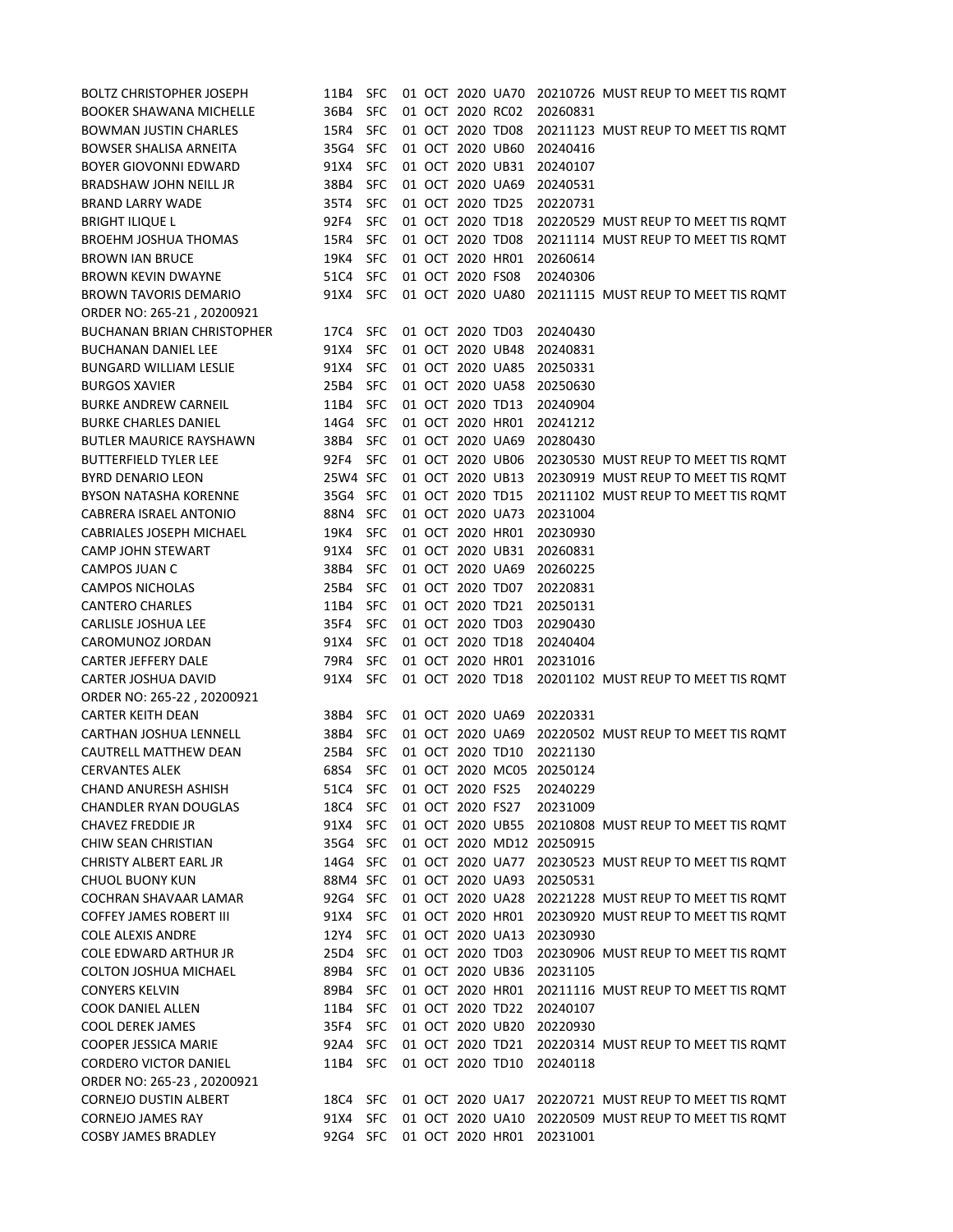| <b>BOLTZ CHRISTOPHER JOSEPH</b>   | 11B4     | <b>SFC</b> |  |                  | 01 OCT 2020 UA70 |                           | 20210726 MUST REUP TO MEET TIS ROMT                  |
|-----------------------------------|----------|------------|--|------------------|------------------|---------------------------|------------------------------------------------------|
| <b>BOOKER SHAWANA MICHELLE</b>    | 36B4     | <b>SFC</b> |  | 01 OCT 2020 RC02 |                  | 20260831                  |                                                      |
| <b>BOWMAN JUSTIN CHARLES</b>      | 15R4     | <b>SFC</b> |  | 01 OCT 2020 TD08 |                  |                           | 20211123 MUST REUP TO MEET TIS ROMT                  |
| <b>BOWSER SHALISA ARNEITA</b>     | 35G4 SFC |            |  | 01 OCT 2020 UB60 |                  | 20240416                  |                                                      |
| <b>BOYER GIOVONNI EDWARD</b>      | 91X4     | <b>SFC</b> |  | 01 OCT 2020 UB31 |                  | 20240107                  |                                                      |
| BRADSHAW JOHN NEILL JR            | 38B4     | <b>SFC</b> |  | 01 OCT 2020 UA69 |                  | 20240531                  |                                                      |
| <b>BRAND LARRY WADE</b>           | 35T4     | <b>SFC</b> |  | 01 OCT 2020 TD25 |                  | 20220731                  |                                                      |
| <b>BRIGHT ILIQUE L</b>            | 92F4     | <b>SFC</b> |  | 01 OCT 2020 TD18 |                  |                           | 20220529 MUST REUP TO MEET TIS ROMT                  |
| <b>BROEHM JOSHUA THOMAS</b>       | 15R4     | <b>SFC</b> |  | 01 OCT 2020 TD08 |                  |                           | 20211114 MUST REUP TO MEET TIS ROMT                  |
| <b>BROWN IAN BRUCE</b>            | 19K4     | <b>SFC</b> |  | 01 OCT 2020 HR01 |                  | 20260614                  |                                                      |
| <b>BROWN KEVIN DWAYNE</b>         | 51C4     | <b>SFC</b> |  | 01 OCT 2020 FS08 |                  | 20240306                  |                                                      |
| <b>BROWN TAVORIS DEMARIO</b>      | 91X4 SFC |            |  |                  | 01 OCT 2020 UA80 |                           | 20211115 MUST REUP TO MEET TIS ROMT                  |
| ORDER NO: 265-21, 20200921        |          |            |  |                  |                  |                           |                                                      |
| <b>BUCHANAN BRIAN CHRISTOPHER</b> | 17C4 SFC |            |  | 01 OCT 2020 TD03 |                  | 20240430                  |                                                      |
| <b>BUCHANAN DANIEL LEE</b>        | 91X4     | <b>SFC</b> |  | 01 OCT 2020 UB48 |                  | 20240831                  |                                                      |
| <b>BUNGARD WILLIAM LESLIE</b>     | 91X4     | <b>SFC</b> |  | 01 OCT 2020 UA85 |                  | 20250331                  |                                                      |
| <b>BURGOS XAVIER</b>              | 25B4     | <b>SFC</b> |  | 01 OCT 2020 UA58 |                  | 20250630                  |                                                      |
| <b>BURKE ANDREW CARNEIL</b>       | 11B4     | <b>SFC</b> |  | 01 OCT 2020 TD13 |                  | 20240904                  |                                                      |
| <b>BURKE CHARLES DANIEL</b>       | 14G4 SFC |            |  | 01 OCT 2020 HR01 |                  | 20241212                  |                                                      |
| <b>BUTLER MAURICE RAYSHAWN</b>    | 38B4     | <b>SFC</b> |  | 01 OCT 2020 UA69 |                  | 20280430                  |                                                      |
| <b>BUTTERFIELD TYLER LEE</b>      | 92F4     | <b>SFC</b> |  | 01 OCT 2020 UB06 |                  |                           | 20230530 MUST REUP TO MEET TIS ROMT                  |
| <b>BYRD DENARIO LEON</b>          | 25W4 SFC |            |  | 01 OCT 2020 UB13 |                  |                           | 20230919 MUST REUP TO MEET TIS ROMT                  |
| <b>BYSON NATASHA KORENNE</b>      | 35G4 SFC |            |  | 01 OCT 2020 TD15 |                  |                           | 20211102 MUST REUP TO MEET TIS ROMT                  |
| CABRERA ISRAEL ANTONIO            | 88N4 SFC |            |  | 01 OCT 2020 UA73 |                  | 20231004                  |                                                      |
| <b>CABRIALES JOSEPH MICHAEL</b>   | 19K4     | <b>SFC</b> |  | 01 OCT 2020 HR01 |                  | 20230930                  |                                                      |
| <b>CAMP JOHN STEWART</b>          | 91X4     | <b>SFC</b> |  | 01 OCT 2020 UB31 |                  | 20260831                  |                                                      |
| CAMPOS JUAN C                     | 38B4     | <b>SFC</b> |  | 01 OCT 2020 UA69 |                  | 20260225                  |                                                      |
| <b>CAMPOS NICHOLAS</b>            | 25B4     | <b>SFC</b> |  | 01 OCT 2020 TD07 |                  | 20220831                  |                                                      |
| <b>CANTERO CHARLES</b>            | 11B4     | <b>SFC</b> |  | 01 OCT 2020 TD21 |                  | 20250131                  |                                                      |
| <b>CARLISLE JOSHUA LEE</b>        | 35F4     | <b>SFC</b> |  | 01 OCT 2020 TD03 |                  | 20290430                  |                                                      |
| CAROMUNOZ JORDAN                  | 91X4     | <b>SFC</b> |  | 01 OCT 2020 TD18 |                  | 20240404                  |                                                      |
| <b>CARTER JEFFERY DALE</b>        | 79R4     | <b>SFC</b> |  | 01 OCT 2020 HR01 |                  | 20231016                  |                                                      |
| CARTER JOSHUA DAVID               | 91X4 SFC |            |  |                  |                  |                           | 01 OCT 2020 TD18 20201102 MUST REUP TO MEET TIS ROMT |
| ORDER NO: 265-22, 20200921        |          |            |  |                  |                  |                           |                                                      |
| <b>CARTER KEITH DEAN</b>          | 38B4     | <b>SFC</b> |  | 01 OCT 2020 UA69 |                  | 20220331                  |                                                      |
| CARTHAN JOSHUA LENNELL            | 38B4     | <b>SFC</b> |  | 01 OCT 2020 UA69 |                  |                           | 20220502 MUST REUP TO MEET TIS ROMT                  |
| <b>CAUTRELL MATTHEW DEAN</b>      | 25B4     | <b>SFC</b> |  | 01 OCT 2020 TD10 |                  | 20221130                  |                                                      |
| <b>CERVANTES ALEK</b>             | 68S4     | <b>SFC</b> |  |                  | 01 OCT 2020 MC05 | 20250124                  |                                                      |
| <b>CHAND ANURESH ASHISH</b>       | 51C4     | <b>SFC</b> |  | 01 OCT 2020 FS25 |                  | 20240229                  |                                                      |
| <b>CHANDLER RYAN DOUGLAS</b>      | 18C4     | <b>SFC</b> |  | 01 OCT 2020 FS27 |                  | 20231009                  |                                                      |
| <b>CHAVEZ FREDDIE JR</b>          | 91X4     | <b>SFC</b> |  | 01 OCT 2020 UB55 |                  |                           | 20210808 MUST REUP TO MEET TIS ROMT                  |
| CHIW SEAN CHRISTIAN               | 35G4 SFC |            |  |                  |                  | 01 OCT 2020 MD12 20250915 |                                                      |
| CHRISTY ALBERT EARL JR            | 14G4 SFC |            |  | 01 OCT 2020 UA77 |                  |                           | 20230523 MUST REUP TO MEET TIS ROMT                  |
| <b>CHUOL BUONY KUN</b>            | 88M4 SFC |            |  | 01 OCT 2020 UA93 |                  | 20250531                  |                                                      |
| COCHRAN SHAVAAR LAMAR             | 92G4 SFC |            |  |                  | 01 OCT 2020 UA28 |                           | 20221228 MUST REUP TO MEET TIS ROMT                  |
| <b>COFFEY JAMES ROBERT III</b>    | 91X4     | <b>SFC</b> |  | 01 OCT 2020 HR01 |                  |                           | 20230920 MUST REUP TO MEET TIS ROMT                  |
| <b>COLE ALEXIS ANDRE</b>          | 12Y4     | <b>SFC</b> |  | 01 OCT 2020 UA13 |                  | 20230930                  |                                                      |
| <b>COLE EDWARD ARTHUR JR</b>      | 25D4 SFC |            |  | 01 OCT 2020 TD03 |                  |                           | 20230906 MUST REUP TO MEET TIS ROMT                  |
| <b>COLTON JOSHUA MICHAEL</b>      | 89B4     | <b>SFC</b> |  | 01 OCT 2020 UB36 |                  | 20231105                  |                                                      |
| <b>CONYERS KELVIN</b>             | 89B4     | <b>SFC</b> |  | 01 OCT 2020 HR01 |                  |                           | 20211116 MUST REUP TO MEET TIS ROMT                  |
| <b>COOK DANIEL ALLEN</b>          | 11B4     | <b>SFC</b> |  | 01 OCT 2020 TD22 |                  | 20240107                  |                                                      |
| <b>COOL DEREK JAMES</b>           | 35F4     | <b>SFC</b> |  | 01 OCT 2020 UB20 |                  | 20220930                  |                                                      |
| <b>COOPER JESSICA MARIE</b>       | 92A4     | <b>SFC</b> |  | 01 OCT 2020 TD21 |                  |                           | 20220314 MUST REUP TO MEET TIS ROMT                  |
| <b>CORDERO VICTOR DANIEL</b>      | 11B4 SFC |            |  | 01 OCT 2020 TD10 |                  | 20240118                  |                                                      |
| ORDER NO: 265-23, 20200921        |          |            |  |                  |                  |                           |                                                      |
| <b>CORNEJO DUSTIN ALBERT</b>      | 18C4 SFC |            |  |                  | 01 OCT 2020 UA17 |                           | 20220721 MUST REUP TO MEET TIS ROMT                  |
| <b>CORNEJO JAMES RAY</b>          | 91X4     | <b>SFC</b> |  | 01 OCT 2020 UA10 |                  |                           | 20220509 MUST REUP TO MEET TIS ROMT                  |
| <b>COSBY JAMES BRADLEY</b>        | 92G4 SFC |            |  |                  | 01 OCT 2020 HR01 | 20231001                  |                                                      |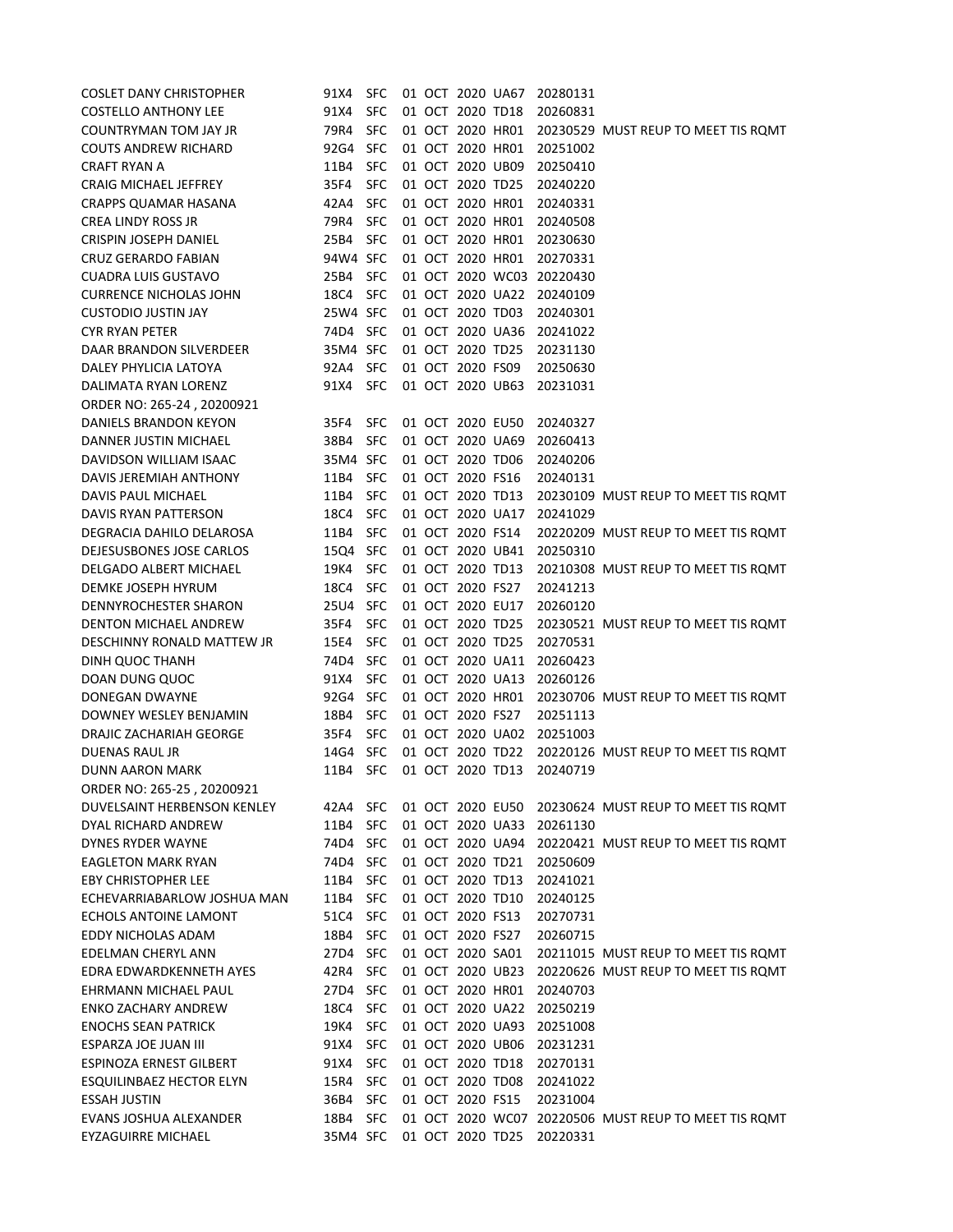| <b>COSLET DANY CHRISTOPHER</b>  | 91X4 SFC |            |  |                  | 01 OCT 2020 UA67 | 20280131                  |                                                      |
|---------------------------------|----------|------------|--|------------------|------------------|---------------------------|------------------------------------------------------|
| <b>COSTELLO ANTHONY LEE</b>     | 91X4     | <b>SFC</b> |  | 01 OCT 2020 TD18 |                  | 20260831                  |                                                      |
| COUNTRYMAN TOM JAY JR           | 79R4     | <b>SFC</b> |  |                  |                  |                           | 01 OCT 2020 HR01 20230529 MUST REUP TO MEET TIS ROMT |
| <b>COUTS ANDREW RICHARD</b>     | 92G4 SFC |            |  |                  | 01 OCT 2020 HR01 | 20251002                  |                                                      |
| <b>CRAFT RYAN A</b>             | 11B4     | <b>SFC</b> |  |                  | 01 OCT 2020 UB09 | 20250410                  |                                                      |
| CRAIG MICHAEL JEFFREY           | 35F4     | <b>SFC</b> |  | 01 OCT 2020 TD25 |                  | 20240220                  |                                                      |
| CRAPPS QUAMAR HASANA            | 42A4     | <b>SFC</b> |  |                  | 01 OCT 2020 HR01 | 20240331                  |                                                      |
| <b>CREA LINDY ROSS JR</b>       | 79R4     | <b>SFC</b> |  |                  | 01 OCT 2020 HR01 | 20240508                  |                                                      |
| CRISPIN JOSEPH DANIEL           | 25B4 SFC |            |  |                  | 01 OCT 2020 HR01 | 20230630                  |                                                      |
| CRUZ GERARDO FABIAN             | 94W4 SFC |            |  |                  | 01 OCT 2020 HR01 | 20270331                  |                                                      |
| <b>CUADRA LUIS GUSTAVO</b>      | 25B4 SFC |            |  |                  |                  | 01 OCT 2020 WC03 20220430 |                                                      |
| <b>CURRENCE NICHOLAS JOHN</b>   | 18C4 SFC |            |  |                  |                  | 01 OCT 2020 UA22 20240109 |                                                      |
| <b>CUSTODIO JUSTIN JAY</b>      | 25W4 SFC |            |  | 01 OCT 2020 TD03 |                  | 20240301                  |                                                      |
| <b>CYR RYAN PETER</b>           | 74D4 SFC |            |  |                  | 01 OCT 2020 UA36 | 20241022                  |                                                      |
| DAAR BRANDON SILVERDEER         | 35M4 SFC |            |  | 01 OCT 2020 TD25 |                  | 20231130                  |                                                      |
| DALEY PHYLICIA LATOYA           | 92A4 SFC |            |  | 01 OCT 2020 FS09 |                  | 20250630                  |                                                      |
| DALIMATA RYAN LORENZ            | 91X4 SFC |            |  |                  | 01 OCT 2020 UB63 | 20231031                  |                                                      |
| ORDER NO: 265-24, 20200921      |          |            |  |                  |                  |                           |                                                      |
| DANIELS BRANDON KEYON           | 35F4     | <b>SFC</b> |  | 01 OCT 2020 EU50 |                  | 20240327                  |                                                      |
| DANNER JUSTIN MICHAEL           | 38B4 SFC |            |  |                  | 01 OCT 2020 UA69 | 20260413                  |                                                      |
| DAVIDSON WILLIAM ISAAC          | 35M4 SFC |            |  | 01 OCT 2020 TD06 |                  | 20240206                  |                                                      |
| DAVIS JEREMIAH ANTHONY          | 11B4     | <b>SFC</b> |  | 01 OCT 2020 FS16 |                  | 20240131                  |                                                      |
| DAVIS PAUL MICHAEL              | 11B4 SFC |            |  | 01 OCT 2020 TD13 |                  |                           | 20230109 MUST REUP TO MEET TIS ROMT                  |
| DAVIS RYAN PATTERSON            | 18C4 SFC |            |  |                  | 01 OCT 2020 UA17 | 20241029                  |                                                      |
| DEGRACIA DAHILO DELAROSA        | 11B4 SFC |            |  | 01 OCT 2020 FS14 |                  |                           | 20220209 MUST REUP TO MEET TIS ROMT                  |
| DEJESUSBONES JOSE CARLOS        | 15Q4 SFC |            |  | 01 OCT 2020 UB41 |                  | 20250310                  |                                                      |
| DELGADO ALBERT MICHAEL          | 19K4 SFC |            |  | 01 OCT 2020 TD13 |                  |                           | 20210308 MUST REUP TO MEET TIS ROMT                  |
| DEMKE JOSEPH HYRUM              | 18C4 SFC |            |  | 01 OCT 2020 FS27 |                  | 20241213                  |                                                      |
| DENNYROCHESTER SHARON           | 25U4 SFC |            |  | 01 OCT 2020 EU17 |                  | 20260120                  |                                                      |
| DENTON MICHAEL ANDREW           | 35F4     | <b>SFC</b> |  | 01 OCT 2020 TD25 |                  |                           | 20230521 MUST REUP TO MEET TIS ROMT                  |
| DESCHINNY RONALD MATTEW JR      | 15E4 SFC |            |  | 01 OCT 2020 TD25 |                  | 20270531                  |                                                      |
| DINH QUOC THANH                 | 74D4 SFC |            |  | 01 OCT 2020 UA11 |                  | 20260423                  |                                                      |
| DOAN DUNG QUOC                  | 91X4 SFC |            |  |                  | 01 OCT 2020 UA13 | 20260126                  |                                                      |
| DONEGAN DWAYNE                  | 92G4 SFC |            |  |                  | 01 OCT 2020 HR01 |                           | 20230706 MUST REUP TO MEET TIS ROMT                  |
| DOWNEY WESLEY BENJAMIN          | 18B4     | <b>SFC</b> |  | 01 OCT 2020 FS27 |                  | 20251113                  |                                                      |
| DRAJIC ZACHARIAH GEORGE         | 35F4     | <b>SFC</b> |  |                  | 01 OCT 2020 UA02 | 20251003                  |                                                      |
| <b>DUENAS RAUL JR</b>           | 14G4 SFC |            |  | 01 OCT 2020 TD22 |                  |                           | 20220126 MUST REUP TO MEET TIS ROMT                  |
| <b>DUNN AARON MARK</b>          | 11B4 SFC |            |  | 01 OCT 2020 TD13 |                  | 20240719                  |                                                      |
| ORDER NO: 265-25, 20200921      |          |            |  |                  |                  |                           |                                                      |
| DUVELSAINT HERBENSON KENLEY     | 42A4 SFC |            |  |                  | 01 OCT 2020 EU50 |                           | 20230624 MUST REUP TO MEET TIS ROMT                  |
| DYAL RICHARD ANDREW             | 11B4     | <b>SFC</b> |  |                  | 01 OCT 2020 UA33 | 20261130                  |                                                      |
| <b>DYNES RYDER WAYNE</b>        | 74D4 SFC |            |  |                  | 01 OCT 2020 UA94 |                           | 20220421 MUST REUP TO MEET TIS ROMT                  |
| <b>EAGLETON MARK RYAN</b>       | 74D4     | <b>SFC</b> |  | 01 OCT 2020 TD21 |                  | 20250609                  |                                                      |
| <b>EBY CHRISTOPHER LEE</b>      | 11B4     | <b>SFC</b> |  | 01 OCT 2020 TD13 |                  | 20241021                  |                                                      |
| ECHEVARRIABARLOW JOSHUA MAN     | 11B4 SFC |            |  | 01 OCT 2020 TD10 |                  | 20240125                  |                                                      |
| ECHOLS ANTOINE LAMONT           | 51C4     | <b>SFC</b> |  | 01 OCT 2020 FS13 |                  | 20270731                  |                                                      |
| EDDY NICHOLAS ADAM              | 18B4     | <b>SFC</b> |  | 01 OCT 2020 FS27 |                  | 20260715                  |                                                      |
| EDELMAN CHERYL ANN              | 27D4 SFC |            |  | 01 OCT 2020 SA01 |                  |                           | 20211015 MUST REUP TO MEET TIS ROMT                  |
| EDRA EDWARDKENNETH AYES         | 42R4     | <b>SFC</b> |  |                  | 01 OCT 2020 UB23 |                           | 20220626 MUST REUP TO MEET TIS ROMT                  |
| EHRMANN MICHAEL PAUL            | 27D4 SFC |            |  |                  | 01 OCT 2020 HR01 | 20240703                  |                                                      |
| <b>ENKO ZACHARY ANDREW</b>      | 18C4     | <b>SFC</b> |  |                  | 01 OCT 2020 UA22 | 20250219                  |                                                      |
| <b>ENOCHS SEAN PATRICK</b>      | 19K4     | <b>SFC</b> |  |                  | 01 OCT 2020 UA93 | 20251008                  |                                                      |
| ESPARZA JOE JUAN III            | 91X4     | <b>SFC</b> |  |                  | 01 OCT 2020 UB06 | 20231231                  |                                                      |
| ESPINOZA ERNEST GILBERT         | 91X4     | <b>SFC</b> |  | 01 OCT 2020 TD18 |                  | 20270131                  |                                                      |
| <b>ESQUILINBAEZ HECTOR ELYN</b> | 15R4     | <b>SFC</b> |  | 01 OCT 2020 TD08 |                  | 20241022                  |                                                      |
| <b>ESSAH JUSTIN</b>             | 36B4     | <b>SFC</b> |  | 01 OCT 2020 FS15 |                  | 20231004                  |                                                      |
| EVANS JOSHUA ALEXANDER          | 18B4     | <b>SFC</b> |  |                  | 01 OCT 2020 WC07 |                           | 20220506 MUST REUP TO MEET TIS ROMT                  |
| <b>EYZAGUIRRE MICHAEL</b>       | 35M4 SFC |            |  |                  | 01 OCT 2020 TD25 | 20220331                  |                                                      |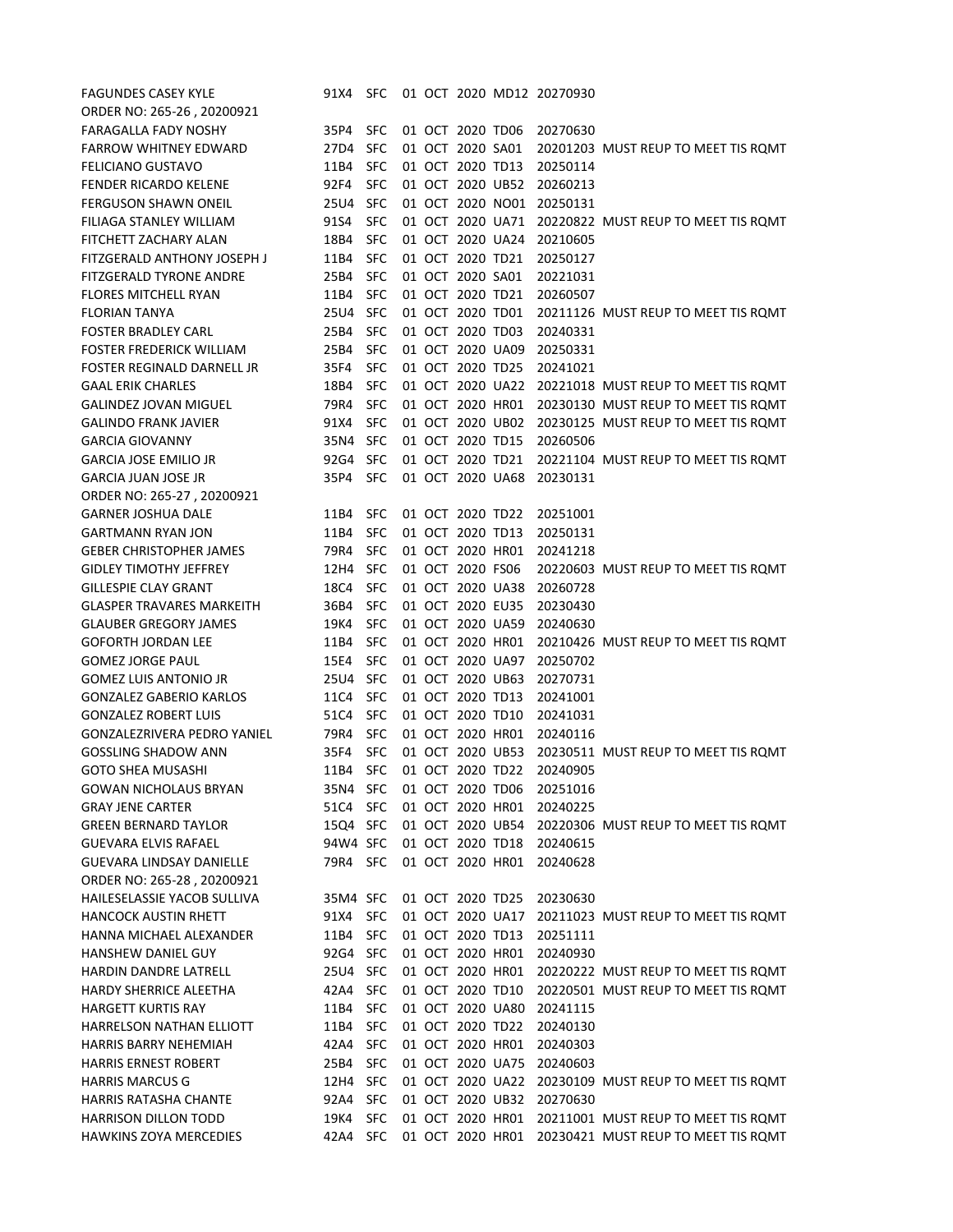| <b>FAGUNDES CASEY KYLE</b>        | 91X4 SFC |            |  |                  |                  | 01 OCT 2020 MD12 20270930 |                                                      |
|-----------------------------------|----------|------------|--|------------------|------------------|---------------------------|------------------------------------------------------|
| ORDER NO: 265-26, 20200921        |          |            |  |                  |                  |                           |                                                      |
| <b>FARAGALLA FADY NOSHY</b>       | 35P4 SFC |            |  |                  | 01 OCT 2020 TD06 | 20270630                  |                                                      |
| <b>FARROW WHITNEY EDWARD</b>      | 27D4 SFC |            |  |                  | 01 OCT 2020 SA01 |                           | 20201203 MUST REUP TO MEET TIS ROMT                  |
| <b>FELICIANO GUSTAVO</b>          | 11B4 SFC |            |  | 01 OCT 2020 TD13 |                  | 20250114                  |                                                      |
| <b>FENDER RICARDO KELENE</b>      | 92F4     | <b>SFC</b> |  |                  | 01 OCT 2020 UB52 | 20260213                  |                                                      |
| <b>FERGUSON SHAWN ONEIL</b>       | 25U4 SFC |            |  |                  | 01 OCT 2020 NO01 | 20250131                  |                                                      |
| FILIAGA STANLEY WILLIAM           | 91S4     | <b>SFC</b> |  |                  | 01 OCT 2020 UA71 |                           | 20220822 MUST REUP TO MEET TIS ROMT                  |
| <b>FITCHETT ZACHARY ALAN</b>      | 18B4 SFC |            |  |                  | 01 OCT 2020 UA24 | 20210605                  |                                                      |
| FITZGERALD ANTHONY JOSEPH J       | 11B4     | <b>SFC</b> |  | 01 OCT 2020 TD21 |                  | 20250127                  |                                                      |
| <b>FITZGERALD TYRONE ANDRE</b>    | 25B4     | <b>SFC</b> |  | 01 OCT 2020 SA01 |                  | 20221031                  |                                                      |
| <b>FLORES MITCHELL RYAN</b>       | 11B4 SFC |            |  | 01 OCT 2020 TD21 |                  | 20260507                  |                                                      |
| <b>FLORIAN TANYA</b>              | 25U4 SFC |            |  | 01 OCT 2020 TD01 |                  |                           | 20211126 MUST REUP TO MEET TIS ROMT                  |
| <b>FOSTER BRADLEY CARL</b>        | 25B4     | <b>SFC</b> |  | 01 OCT 2020 TD03 |                  | 20240331                  |                                                      |
| <b>FOSTER FREDERICK WILLIAM</b>   | 25B4     | <b>SFC</b> |  |                  | 01 OCT 2020 UA09 | 20250331                  |                                                      |
| <b>FOSTER REGINALD DARNELL JR</b> | 35F4     | <b>SFC</b> |  | 01 OCT 2020 TD25 |                  | 20241021                  |                                                      |
| <b>GAAL ERIK CHARLES</b>          | 18B4     | <b>SFC</b> |  |                  |                  |                           | 01 OCT 2020 UA22 20221018 MUST REUP TO MEET TIS ROMT |
| <b>GALINDEZ JOVAN MIGUEL</b>      | 79R4     | <b>SFC</b> |  |                  | 01 OCT 2020 HR01 |                           | 20230130 MUST REUP TO MEET TIS ROMT                  |
| <b>GALINDO FRANK JAVIER</b>       | 91X4     | <b>SFC</b> |  |                  | 01 OCT 2020 UB02 |                           | 20230125 MUST REUP TO MEET TIS ROMT                  |
| <b>GARCIA GIOVANNY</b>            | 35N4 SFC |            |  | 01 OCT 2020 TD15 |                  | 20260506                  |                                                      |
| <b>GARCIA JOSE EMILIO JR</b>      | 92G4 SFC |            |  |                  | 01 OCT 2020 TD21 |                           | 20221104 MUST REUP TO MEET TIS ROMT                  |
| <b>GARCIA JUAN JOSE JR</b>        | 35P4 SFC |            |  |                  | 01 OCT 2020 UA68 | 20230131                  |                                                      |
| ORDER NO: 265-27, 20200921        |          |            |  |                  |                  |                           |                                                      |
| <b>GARNER JOSHUA DALE</b>         | 11B4     | <b>SFC</b> |  | 01 OCT 2020 TD22 |                  | 20251001                  |                                                      |
| <b>GARTMANN RYAN JON</b>          | 11B4     | <b>SFC</b> |  | 01 OCT 2020 TD13 |                  | 20250131                  |                                                      |
| <b>GEBER CHRISTOPHER JAMES</b>    | 79R4     | <b>SFC</b> |  | 01 OCT 2020 HR01 |                  | 20241218                  |                                                      |
| <b>GIDLEY TIMOTHY JEFFREY</b>     | 12H4 SFC |            |  | 01 OCT 2020 FS06 |                  |                           | 20220603 MUST REUP TO MEET TIS ROMT                  |
| <b>GILLESPIE CLAY GRANT</b>       | 18C4     | <b>SFC</b> |  |                  | 01 OCT 2020 UA38 | 20260728                  |                                                      |
| <b>GLASPER TRAVARES MARKEITH</b>  | 36B4     | <b>SFC</b> |  | 01 OCT 2020 EU35 |                  | 20230430                  |                                                      |
| <b>GLAUBER GREGORY JAMES</b>      | 19K4     | <b>SFC</b> |  |                  | 01 OCT 2020 UA59 | 20240630                  |                                                      |
| <b>GOFORTH JORDAN LEE</b>         | 11B4     | <b>SFC</b> |  |                  | 01 OCT 2020 HR01 |                           | 20210426 MUST REUP TO MEET TIS ROMT                  |
| <b>GOMEZ JORGE PAUL</b>           | 15E4 SFC |            |  |                  | 01 OCT 2020 UA97 | 20250702                  |                                                      |
| <b>GOMEZ LUIS ANTONIO JR</b>      | 25U4 SFC |            |  |                  | 01 OCT 2020 UB63 | 20270731                  |                                                      |
| <b>GONZALEZ GABERIO KARLOS</b>    | 11C4 SFC |            |  |                  | 01 OCT 2020 TD13 | 20241001                  |                                                      |
| <b>GONZALEZ ROBERT LUIS</b>       | 51C4     | <b>SFC</b> |  | 01 OCT 2020 TD10 |                  | 20241031                  |                                                      |
| GONZALEZRIVERA PEDRO YANIEL       | 79R4     | <b>SFC</b> |  |                  | 01 OCT 2020 HR01 | 20240116                  |                                                      |
| <b>GOSSLING SHADOW ANN</b>        | 35F4     | <b>SFC</b> |  |                  |                  |                           | 01 OCT 2020 UB53 20230511 MUST REUP TO MEET TIS ROMT |
| <b>GOTO SHEA MUSASHI</b>          | 11B4 SFC |            |  | 01 OCT 2020 TD22 |                  | 20240905                  |                                                      |
| <b>GOWAN NICHOLAUS BRYAN</b>      | 35N4 SFC |            |  | 01 OCT 2020 TD06 |                  | 20251016                  |                                                      |
| <b>GRAY JENE CARTER</b>           | 51C4 SFC |            |  |                  | 01 OCT 2020 HR01 | 20240225                  |                                                      |
| <b>GREEN BERNARD TAYLOR</b>       | 15Q4 SFC |            |  |                  | 01 OCT 2020 UB54 |                           | 20220306 MUST REUP TO MEET TIS ROMT                  |
| <b>GUEVARA ELVIS RAFAEL</b>       | 94W4 SFC |            |  |                  | 01 OCT 2020 TD18 | 20240615                  |                                                      |
| <b>GUEVARA LINDSAY DANIELLE</b>   | 79R4 SFC |            |  |                  | 01 OCT 2020 HR01 | 20240628                  |                                                      |
| ORDER NO: 265-28, 20200921        |          |            |  |                  |                  |                           |                                                      |
| HAILESELASSIE YACOB SULLIVA       | 35M4 SFC |            |  | 01 OCT 2020 TD25 |                  | 20230630                  |                                                      |
| <b>HANCOCK AUSTIN RHETT</b>       | 91X4 SFC |            |  |                  | 01 OCT 2020 UA17 |                           | 20211023 MUST REUP TO MEET TIS ROMT                  |
| HANNA MICHAEL ALEXANDER           | 11B4     | <b>SFC</b> |  | 01 OCT 2020 TD13 |                  | 20251111                  |                                                      |
| <b>HANSHEW DANIEL GUY</b>         | 92G4 SFC |            |  |                  | 01 OCT 2020 HR01 | 20240930                  |                                                      |
| HARDIN DANDRE LATRELL             | 25U4 SFC |            |  |                  | 01 OCT 2020 HR01 |                           | 20220222 MUST REUP TO MEET TIS ROMT                  |
| HARDY SHERRICE ALEETHA            | 42A4     | <b>SFC</b> |  |                  | 01 OCT 2020 TD10 |                           | 20220501 MUST REUP TO MEET TIS ROMT                  |
| <b>HARGETT KURTIS RAY</b>         | 11B4 SFC |            |  |                  | 01 OCT 2020 UA80 | 20241115                  |                                                      |
| HARRELSON NATHAN ELLIOTT          | 11B4 SFC |            |  | 01 OCT 2020 TD22 |                  | 20240130                  |                                                      |
| <b>HARRIS BARRY NEHEMIAH</b>      | 42A4 SFC |            |  |                  | 01 OCT 2020 HR01 | 20240303                  |                                                      |
| <b>HARRIS ERNEST ROBERT</b>       | 25B4 SFC |            |  |                  | 01 OCT 2020 UA75 | 20240603                  |                                                      |
| <b>HARRIS MARCUS G</b>            | 12H4 SFC |            |  |                  | 01 OCT 2020 UA22 |                           | 20230109 MUST REUP TO MEET TIS ROMT                  |
| <b>HARRIS RATASHA CHANTE</b>      | 92A4 SFC |            |  |                  |                  | 01 OCT 2020 UB32 20270630 |                                                      |
| <b>HARRISON DILLON TODD</b>       | 19K4     | <b>SFC</b> |  |                  | 01 OCT 2020 HR01 |                           | 20211001 MUST REUP TO MEET TIS ROMT                  |
| <b>HAWKINS ZOYA MERCEDIES</b>     | 42A4 SFC |            |  |                  | 01 OCT 2020 HR01 |                           | 20230421 MUST REUP TO MEET TIS ROMT                  |
|                                   |          |            |  |                  |                  |                           |                                                      |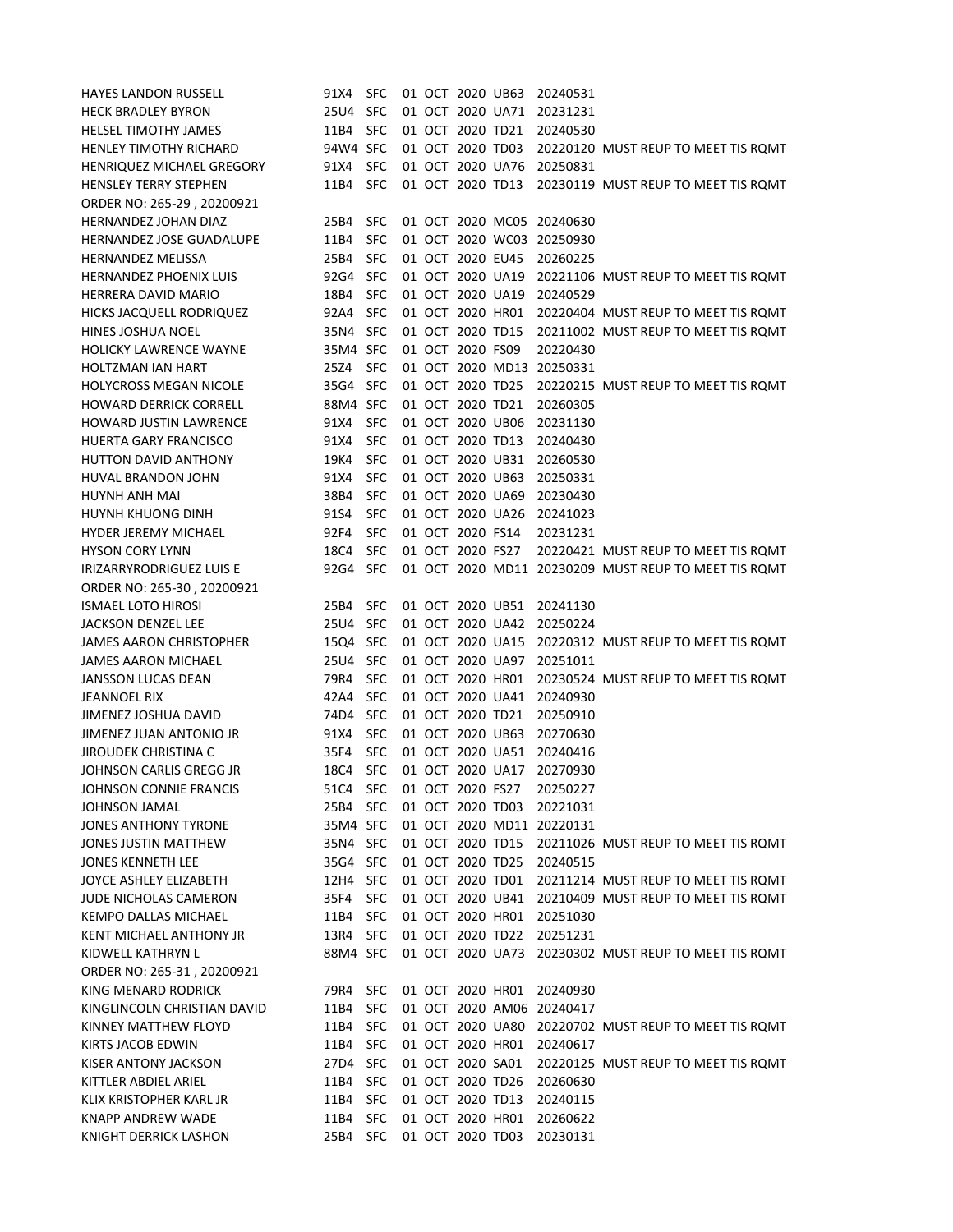| <b>HAYES LANDON RUSSELL</b>     | 91X4     | <b>SFC</b> |  | 01 OCT 2020 UB63 |                  | 20240531                  |                                                      |
|---------------------------------|----------|------------|--|------------------|------------------|---------------------------|------------------------------------------------------|
| <b>HECK BRADLEY BYRON</b>       | 25U4 SFC |            |  | 01 OCT 2020 UA71 |                  | 20231231                  |                                                      |
| <b>HELSEL TIMOTHY JAMES</b>     | 11B4     | <b>SFC</b> |  | 01 OCT 2020 TD21 |                  | 20240530                  |                                                      |
| <b>HENLEY TIMOTHY RICHARD</b>   | 94W4 SFC |            |  | 01 OCT 2020 TD03 |                  |                           | 20220120 MUST REUP TO MEET TIS ROMT                  |
| HENRIQUEZ MICHAEL GREGORY       | 91X4     | <b>SFC</b> |  | 01 OCT 2020 UA76 |                  | 20250831                  |                                                      |
| <b>HENSLEY TERRY STEPHEN</b>    | 11B4     | <b>SFC</b> |  | 01 OCT 2020 TD13 |                  |                           | 20230119 MUST REUP TO MEET TIS ROMT                  |
| ORDER NO: 265-29, 20200921      |          |            |  |                  |                  |                           |                                                      |
| <b>HERNANDEZ JOHAN DIAZ</b>     | 25B4     | <b>SFC</b> |  |                  |                  | 01 OCT 2020 MC05 20240630 |                                                      |
| HERNANDEZ JOSE GUADALUPE        | 11B4     | <b>SFC</b> |  |                  |                  | 01 OCT 2020 WC03 20250930 |                                                      |
| <b>HERNANDEZ MELISSA</b>        | 25B4     | <b>SFC</b> |  | 01 OCT 2020 EU45 |                  | 20260225                  |                                                      |
| <b>HERNANDEZ PHOENIX LUIS</b>   | 92G4     | <b>SFC</b> |  | 01 OCT 2020 UA19 |                  |                           | 20221106 MUST REUP TO MEET TIS ROMT                  |
| HERRERA DAVID MARIO             | 18B4     | <b>SFC</b> |  | 01 OCT 2020 UA19 |                  | 20240529                  |                                                      |
| HICKS JACQUELL RODRIQUEZ        | 92A4     | <b>SFC</b> |  | 01 OCT 2020 HR01 |                  |                           | 20220404 MUST REUP TO MEET TIS ROMT                  |
| <b>HINES JOSHUA NOEL</b>        | 35N4 SFC |            |  | 01 OCT 2020 TD15 |                  |                           | 20211002 MUST REUP TO MEET TIS ROMT                  |
| <b>HOLICKY LAWRENCE WAYNE</b>   | 35M4 SFC |            |  | 01 OCT 2020 FS09 |                  | 20220430                  |                                                      |
| <b>HOLTZMAN IAN HART</b>        | 25Z4     | <b>SFC</b> |  |                  | 01 OCT 2020 MD13 | 20250331                  |                                                      |
| <b>HOLYCROSS MEGAN NICOLE</b>   | 35G4 SFC |            |  | 01 OCT 2020 TD25 |                  |                           | 20220215 MUST REUP TO MEET TIS ROMT                  |
| <b>HOWARD DERRICK CORRELL</b>   | 88M4 SFC |            |  | 01 OCT 2020 TD21 |                  | 20260305                  |                                                      |
| <b>HOWARD JUSTIN LAWRENCE</b>   | 91X4     | <b>SFC</b> |  | 01 OCT 2020 UB06 |                  | 20231130                  |                                                      |
| <b>HUERTA GARY FRANCISCO</b>    | 91X4     | <b>SFC</b> |  | 01 OCT 2020 TD13 |                  | 20240430                  |                                                      |
| <b>HUTTON DAVID ANTHONY</b>     | 19K4     | <b>SFC</b> |  | 01 OCT 2020 UB31 |                  | 20260530                  |                                                      |
| HUVAL BRANDON JOHN              | 91X4     | <b>SFC</b> |  | 01 OCT 2020 UB63 |                  | 20250331                  |                                                      |
| HUYNH ANH MAI                   | 38B4     | <b>SFC</b> |  | 01 OCT 2020 UA69 |                  | 20230430                  |                                                      |
| <b>HUYNH KHUONG DINH</b>        | 91S4     | <b>SFC</b> |  | 01 OCT 2020 UA26 |                  | 20241023                  |                                                      |
| <b>HYDER JEREMY MICHAEL</b>     | 92F4     | <b>SFC</b> |  | 01 OCT 2020 FS14 |                  | 20231231                  |                                                      |
| <b>HYSON CORY LYNN</b>          | 18C4     | <b>SFC</b> |  | 01 OCT 2020 FS27 |                  |                           | 20220421 MUST REUP TO MEET TIS ROMT                  |
| <b>IRIZARRYRODRIGUEZ LUIS E</b> | 92G4     | <b>SFC</b> |  |                  |                  |                           | 01 OCT 2020 MD11 20230209 MUST REUP TO MEET TIS ROMT |
| ORDER NO: 265-30, 20200921      |          |            |  |                  |                  |                           |                                                      |
| <b>ISMAEL LOTO HIROSI</b>       | 25B4     | <b>SFC</b> |  | 01 OCT 2020 UB51 |                  | 20241130                  |                                                      |
| <b>JACKSON DENZEL LEE</b>       | 25U4     | <b>SFC</b> |  | 01 OCT 2020 UA42 |                  | 20250224                  |                                                      |
| <b>JAMES AARON CHRISTOPHER</b>  | 15Q4 SFC |            |  | 01 OCT 2020 UA15 |                  |                           | 20220312 MUST REUP TO MEET TIS ROMT                  |
| JAMES AARON MICHAEL             | 25U4 SFC |            |  | 01 OCT 2020 UA97 |                  | 20251011                  |                                                      |
| <b>JANSSON LUCAS DEAN</b>       | 79R4     | <b>SFC</b> |  |                  | 01 OCT 2020 HR01 |                           | 20230524 MUST REUP TO MEET TIS ROMT                  |
| <b>JEANNOEL RIX</b>             | 42A4     | <b>SFC</b> |  |                  | 01 OCT 2020 UA41 | 20240930                  |                                                      |
| JIMENEZ JOSHUA DAVID            | 74D4     | <b>SFC</b> |  | 01 OCT 2020 TD21 |                  | 20250910                  |                                                      |
| JIMENEZ JUAN ANTONIO JR         | 91X4     | <b>SFC</b> |  | 01 OCT 2020 UB63 |                  | 20270630                  |                                                      |
| <b>JIROUDEK CHRISTINA C</b>     | 35F4     | <b>SFC</b> |  |                  | 01 OCT 2020 UA51 | 20240416                  |                                                      |
| JOHNSON CARLIS GREGG JR         | 18C4     | <b>SFC</b> |  | 01 OCT 2020 UA17 |                  | 20270930                  |                                                      |
| JOHNSON CONNIE FRANCIS          | 51C4     | <b>SFC</b> |  | 01 OCT 2020 FS27 |                  | 20250227                  |                                                      |
| JOHNSON JAMAL                   | 25B4 SFC |            |  | 01 OCT 2020 TD03 |                  | 20221031                  |                                                      |
| <b>JONES ANTHONY TYRONE</b>     | 35M4 SFC |            |  |                  |                  | 01 OCT 2020 MD11 20220131 |                                                      |
| JONES JUSTIN MATTHEW            | 35N4 SFC |            |  | 01 OCT 2020 TD15 |                  |                           | 20211026 MUST REUP TO MEET TIS ROMT                  |
| <b>JONES KENNETH LEE</b>        | 35G4 SFC |            |  | 01 OCT 2020 TD25 |                  | 20240515                  |                                                      |
| JOYCE ASHLEY ELIZABETH          | 12H4 SFC |            |  | 01 OCT 2020 TD01 |                  |                           | 20211214 MUST REUP TO MEET TIS ROMT                  |
| JUDE NICHOLAS CAMERON           | 35F4     | <b>SFC</b> |  |                  | 01 OCT 2020 UB41 |                           | 20210409 MUST REUP TO MEET TIS ROMT                  |
| KEMPO DALLAS MICHAEL            | 11B4     | <b>SFC</b> |  | 01 OCT 2020 HR01 |                  | 20251030                  |                                                      |
| KENT MICHAEL ANTHONY JR         | 13R4 SFC |            |  | 01 OCT 2020 TD22 |                  | 20251231                  |                                                      |
| KIDWELL KATHRYN L               | 88M4 SFC |            |  |                  |                  |                           | 01 OCT 2020 UA73 20230302 MUST REUP TO MEET TIS ROMT |
| ORDER NO: 265-31, 20200921      |          |            |  |                  |                  |                           |                                                      |
| KING MENARD RODRICK             | 79R4     | <b>SFC</b> |  |                  | 01 OCT 2020 HR01 | 20240930                  |                                                      |
| KINGLINCOLN CHRISTIAN DAVID     | 11B4     | <b>SFC</b> |  |                  |                  | 01 OCT 2020 AM06 20240417 |                                                      |
| KINNEY MATTHEW FLOYD            | 11B4     | <b>SFC</b> |  |                  | 01 OCT 2020 UA80 |                           | 20220702 MUST REUP TO MEET TIS ROMT                  |
| KIRTS JACOB EDWIN               | 11B4     | <b>SFC</b> |  | 01 OCT 2020 HR01 |                  | 20240617                  |                                                      |
| <b>KISER ANTONY JACKSON</b>     | 27D4 SFC |            |  | 01 OCT 2020 SA01 |                  |                           | 20220125 MUST REUP TO MEET TIS ROMT                  |
| KITTLER ABDIEL ARIEL            | 11B4     | <b>SFC</b> |  | 01 OCT 2020 TD26 |                  | 20260630                  |                                                      |
| KLIX KRISTOPHER KARL JR         | 11B4     | <b>SFC</b> |  | 01 OCT 2020 TD13 |                  | 20240115                  |                                                      |
| <b>KNAPP ANDREW WADE</b>        | 11B4     | <b>SFC</b> |  | 01 OCT 2020 HR01 |                  | 20260622                  |                                                      |
| <b>KNIGHT DERRICK LASHON</b>    | 25B4 SFC |            |  | 01 OCT 2020 TD03 |                  | 20230131                  |                                                      |
|                                 |          |            |  |                  |                  |                           |                                                      |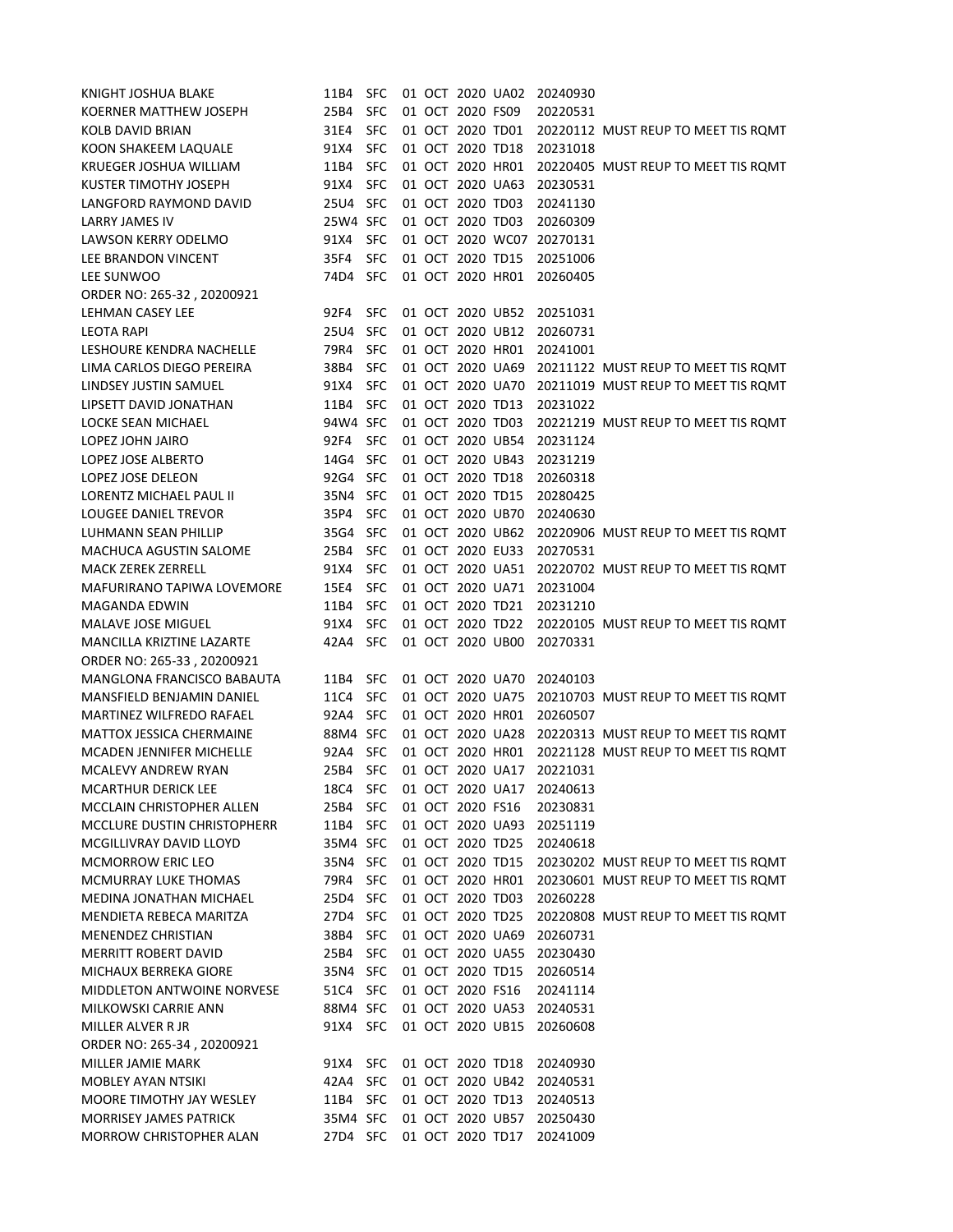| KNIGHT JOSHUA BLAKE               | 11B4     | <b>SFC</b> |  | 01 OCT 2020 UA02 |                  | 20240930 |                                     |
|-----------------------------------|----------|------------|--|------------------|------------------|----------|-------------------------------------|
| KOERNER MATTHEW JOSEPH            | 25B4     | <b>SFC</b> |  | 01 OCT 2020 FS09 |                  | 20220531 |                                     |
| <b>KOLB DAVID BRIAN</b>           | 31E4     | <b>SFC</b> |  | 01 OCT 2020 TD01 |                  |          | 20220112 MUST REUP TO MEET TIS ROMT |
| KOON SHAKEEM LAQUALE              | 91X4     | <b>SFC</b> |  | 01 OCT 2020 TD18 |                  | 20231018 |                                     |
| KRUEGER JOSHUA WILLIAM            | 11B4     | <b>SFC</b> |  | 01 OCT 2020 HR01 |                  |          | 20220405 MUST REUP TO MEET TIS ROMT |
| <b>KUSTER TIMOTHY JOSEPH</b>      | 91X4     | <b>SFC</b> |  | 01 OCT 2020 UA63 |                  | 20230531 |                                     |
| LANGFORD RAYMOND DAVID            | 25U4 SFC |            |  | 01 OCT 2020 TD03 |                  | 20241130 |                                     |
| <b>LARRY JAMES IV</b>             | 25W4 SFC |            |  | 01 OCT 2020 TD03 |                  | 20260309 |                                     |
| <b>LAWSON KERRY ODELMO</b>        | 91X4     | SFC        |  |                  | 01 OCT 2020 WC07 | 20270131 |                                     |
| LEE BRANDON VINCENT               | 35F4     | <b>SFC</b> |  | 01 OCT 2020 TD15 |                  | 20251006 |                                     |
| LEE SUNWOO                        | 74D4 SFC |            |  | 01 OCT 2020 HR01 |                  | 20260405 |                                     |
| ORDER NO: 265-32, 20200921        |          |            |  |                  |                  |          |                                     |
| LEHMAN CASEY LEE                  | 92F4     | <b>SFC</b> |  | 01 OCT 2020 UB52 |                  | 20251031 |                                     |
| <b>LEOTA RAPI</b>                 | 25U4 SFC |            |  | 01 OCT 2020 UB12 |                  | 20260731 |                                     |
| LESHOURE KENDRA NACHELLE          | 79R4     | <b>SFC</b> |  | 01 OCT 2020 HR01 |                  | 20241001 |                                     |
| LIMA CARLOS DIEGO PEREIRA         | 38B4     | <b>SFC</b> |  | 01 OCT 2020 UA69 |                  |          | 20211122 MUST REUP TO MEET TIS ROMT |
| LINDSEY JUSTIN SAMUEL             | 91X4     | <b>SFC</b> |  |                  | 01 OCT 2020 UA70 |          | 20211019 MUST REUP TO MEET TIS ROMT |
| LIPSETT DAVID JONATHAN            | 11B4     | <b>SFC</b> |  | 01 OCT 2020 TD13 |                  | 20231022 |                                     |
| LOCKE SEAN MICHAEL                | 94W4 SFC |            |  | 01 OCT 2020 TD03 |                  |          | 20221219 MUST REUP TO MEET TIS ROMT |
| LOPEZ JOHN JAIRO                  | 92F4     | SFC        |  | 01 OCT 2020 UB54 |                  | 20231124 |                                     |
| LOPEZ JOSE ALBERTO                | 14G4 SFC |            |  | 01 OCT 2020 UB43 |                  | 20231219 |                                     |
| LOPEZ JOSE DELEON                 | 92G4 SFC |            |  | 01 OCT 2020 TD18 |                  | 20260318 |                                     |
| <b>LORENTZ MICHAEL PAUL II</b>    | 35N4 SFC |            |  | 01 OCT 2020 TD15 |                  | 20280425 |                                     |
| LOUGEE DANIEL TREVOR              | 35P4     | <b>SFC</b> |  | 01 OCT 2020 UB70 |                  | 20240630 |                                     |
| LUHMANN SEAN PHILLIP              | 35G4 SFC |            |  | 01 OCT 2020 UB62 |                  |          | 20220906 MUST REUP TO MEET TIS ROMT |
| <b>MACHUCA AGUSTIN SALOME</b>     | 25B4     | <b>SFC</b> |  | 01 OCT 2020 EU33 |                  | 20270531 |                                     |
| <b>MACK ZEREK ZERRELL</b>         | 91X4     | <b>SFC</b> |  | 01 OCT 2020 UA51 |                  |          | 20220702 MUST REUP TO MEET TIS ROMT |
| <b>MAFURIRANO TAPIWA LOVEMORE</b> | 15E4     | <b>SFC</b> |  | 01 OCT 2020 UA71 |                  | 20231004 |                                     |
| <b>MAGANDA EDWIN</b>              | 11B4     | <b>SFC</b> |  | 01 OCT 2020 TD21 |                  | 20231210 |                                     |
| MALAVE JOSE MIGUEL                | 91X4     | <b>SFC</b> |  | 01 OCT 2020 TD22 |                  |          | 20220105 MUST REUP TO MEET TIS ROMT |
| MANCILLA KRIZTINE LAZARTE         | 42A4     | <b>SFC</b> |  | 01 OCT 2020 UB00 |                  | 20270331 |                                     |
| ORDER NO: 265-33, 20200921        |          |            |  |                  |                  |          |                                     |
| MANGLONA FRANCISCO BABAUTA        | 11B4 SFC |            |  |                  | 01 OCT 2020 UA70 | 20240103 |                                     |
| <b>MANSFIELD BENJAMIN DANIEL</b>  | 11C4 SFC |            |  |                  | 01 OCT 2020 UA75 |          | 20210703 MUST REUP TO MEET TIS ROMT |
| MARTINEZ WILFREDO RAFAEL          | 92A4 SFC |            |  | 01 OCT 2020 HR01 |                  | 20260507 |                                     |
| <b>MATTOX JESSICA CHERMAINE</b>   | 88M4 SFC |            |  |                  | 01 OCT 2020 UA28 |          | 20220313 MUST REUP TO MEET TIS ROMT |
| <b>MCADEN JENNIFER MICHELLE</b>   | 92A4 SFC |            |  |                  | 01 OCT 2020 HR01 |          | 20221128 MUST REUP TO MEET TIS ROMT |
| <b>MCALEVY ANDREW RYAN</b>        | 25B4     | <b>SFC</b> |  | 01 OCT 2020 UA17 |                  | 20221031 |                                     |
| <b>MCARTHUR DERICK LEE</b>        | 18C4     | <b>SFC</b> |  |                  | 01 OCT 2020 UA17 | 20240613 |                                     |
| MCCLAIN CHRISTOPHER ALLEN         | 25B4     | SFC        |  | 01 OCT 2020 FS16 |                  | 20230831 |                                     |
| MCCLURE DUSTIN CHRISTOPHERR       | 11B4 SFC |            |  | 01 OCT 2020 UA93 |                  | 20251119 |                                     |
| MCGILLIVRAY DAVID LLOYD           | 35M4 SFC |            |  | 01 OCT 2020 TD25 |                  | 20240618 |                                     |
| <b>MCMORROW ERIC LEO</b>          | 35N4 SFC |            |  | 01 OCT 2020 TD15 |                  |          | 20230202 MUST REUP TO MEET TIS ROMT |
| MCMURRAY LUKE THOMAS              | 79R4 SFC |            |  |                  | 01 OCT 2020 HR01 |          | 20230601 MUST REUP TO MEET TIS ROMT |
| MEDINA JONATHAN MICHAEL           | 25D4 SFC |            |  | 01 OCT 2020 TD03 |                  | 20260228 |                                     |
| MENDIETA REBECA MARITZA           | 27D4 SFC |            |  | 01 OCT 2020 TD25 |                  |          | 20220808 MUST REUP TO MEET TIS ROMT |
| <b>MENENDEZ CHRISTIAN</b>         | 38B4     | <b>SFC</b> |  | 01 OCT 2020 UA69 |                  | 20260731 |                                     |
| <b>MERRITT ROBERT DAVID</b>       | 25B4 SFC |            |  | 01 OCT 2020 UA55 |                  | 20230430 |                                     |
| MICHAUX BERREKA GIORE             | 35N4 SFC |            |  | 01 OCT 2020 TD15 |                  | 20260514 |                                     |
| MIDDLETON ANTWOINE NORVESE        | 51C4 SFC |            |  | 01 OCT 2020 FS16 |                  | 20241114 |                                     |
| MILKOWSKI CARRIE ANN              | 88M4 SFC |            |  | 01 OCT 2020 UA53 |                  | 20240531 |                                     |
|                                   |          |            |  | 01 OCT 2020 UB15 |                  |          |                                     |
| MILLER ALVER R JR                 | 91X4 SFC |            |  |                  |                  | 20260608 |                                     |
| ORDER NO: 265-34, 20200921        |          |            |  |                  |                  |          |                                     |
| MILLER JAMIE MARK                 | 91X4 SFC |            |  | 01 OCT 2020 TD18 |                  | 20240930 |                                     |
| <b>MOBLEY AYAN NTSIKI</b>         | 42A4 SFC |            |  |                  | 01 OCT 2020 UB42 | 20240531 |                                     |
| MOORE TIMOTHY JAY WESLEY          | 11B4 SFC |            |  | 01 OCT 2020 TD13 |                  | 20240513 |                                     |
| MORRISEY JAMES PATRICK            | 35M4 SFC |            |  | 01 OCT 2020 UB57 |                  | 20250430 |                                     |
| MORROW CHRISTOPHER ALAN           | 27D4 SFC |            |  | 01 OCT 2020 TD17 |                  | 20241009 |                                     |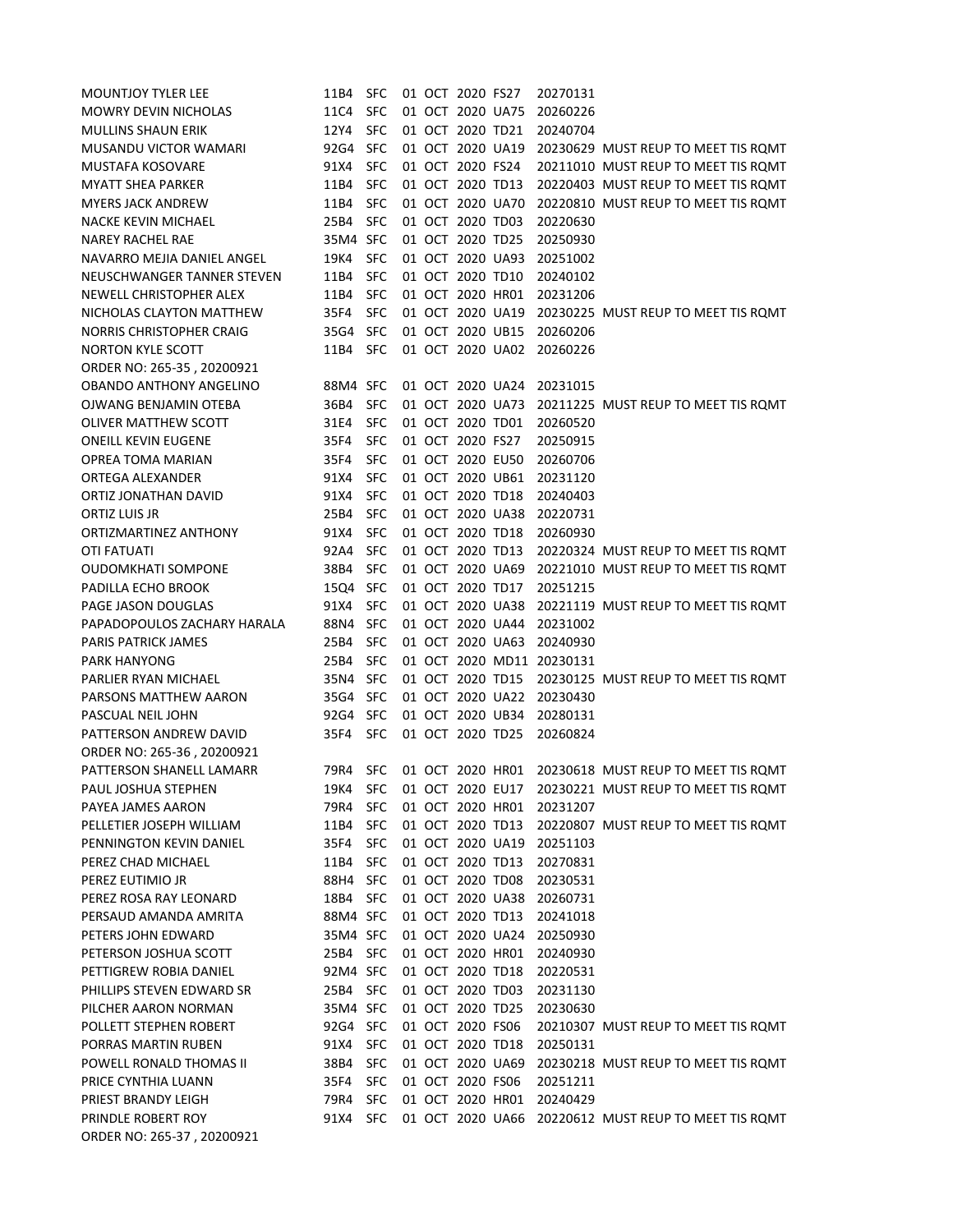| <b>MOUNTJOY TYLER LEE</b>                   | 11B4     | <b>SFC</b> |  | 01 OCT 2020 FS27 |                  | 20270131                  |                                     |
|---------------------------------------------|----------|------------|--|------------------|------------------|---------------------------|-------------------------------------|
| <b>MOWRY DEVIN NICHOLAS</b>                 | 11C4     | <b>SFC</b> |  | 01 OCT 2020 UA75 |                  | 20260226                  |                                     |
| <b>MULLINS SHAUN ERIK</b>                   | 12Y4     | <b>SFC</b> |  | 01 OCT 2020 TD21 |                  | 20240704                  |                                     |
| MUSANDU VICTOR WAMARI                       | 92G4     | <b>SFC</b> |  | 01 OCT 2020 UA19 |                  |                           | 20230629 MUST REUP TO MEET TIS ROMT |
| <b>MUSTAFA KOSOVARE</b>                     | 91X4     | <b>SFC</b> |  | 01 OCT 2020 FS24 |                  |                           | 20211010 MUST REUP TO MEET TIS ROMT |
| <b>MYATT SHEA PARKER</b>                    | 11B4     | <b>SFC</b> |  | 01 OCT 2020 TD13 |                  |                           | 20220403 MUST REUP TO MEET TIS ROMT |
| <b>MYERS JACK ANDREW</b>                    | 11B4     | <b>SFC</b> |  | 01 OCT 2020 UA70 |                  |                           | 20220810 MUST REUP TO MEET TIS ROMT |
| <b>NACKE KEVIN MICHAEL</b>                  | 25B4     | <b>SFC</b> |  | 01 OCT 2020 TD03 |                  | 20220630                  |                                     |
| <b>NAREY RACHEL RAE</b>                     | 35M4 SFC |            |  | 01 OCT 2020 TD25 |                  | 20250930                  |                                     |
| NAVARRO MEJIA DANIEL ANGEL                  | 19K4     | <b>SFC</b> |  | 01 OCT 2020 UA93 |                  | 20251002                  |                                     |
| NEUSCHWANGER TANNER STEVEN                  | 11B4     | <b>SFC</b> |  | 01 OCT 2020 TD10 |                  | 20240102                  |                                     |
| NEWELL CHRISTOPHER ALEX                     | 11B4     | <b>SFC</b> |  | 01 OCT 2020 HR01 |                  | 20231206                  |                                     |
| NICHOLAS CLAYTON MATTHEW                    | 35F4     | <b>SFC</b> |  | 01 OCT 2020 UA19 |                  |                           | 20230225 MUST REUP TO MEET TIS ROMT |
| <b>NORRIS CHRISTOPHER CRAIG</b>             | 35G4 SFC |            |  | 01 OCT 2020 UB15 |                  | 20260206                  |                                     |
| <b>NORTON KYLE SCOTT</b>                    | 11B4     | SFC        |  | 01 OCT 2020 UA02 |                  | 20260226                  |                                     |
| ORDER NO: 265-35, 20200921                  |          |            |  |                  |                  |                           |                                     |
| <b>OBANDO ANTHONY ANGELINO</b>              | 88M4 SFC |            |  | 01 OCT 2020 UA24 |                  | 20231015                  |                                     |
| OJWANG BENJAMIN OTEBA                       | 36B4     | <b>SFC</b> |  | 01 OCT 2020 UA73 |                  |                           | 20211225 MUST REUP TO MEET TIS ROMT |
| <b>OLIVER MATTHEW SCOTT</b>                 | 31E4     | <b>SFC</b> |  | 01 OCT 2020 TD01 |                  | 20260520                  |                                     |
| <b>ONEILL KEVIN EUGENE</b>                  | 35F4     | <b>SFC</b> |  | 01 OCT 2020 FS27 |                  | 20250915                  |                                     |
| <b>OPREA TOMA MARIAN</b>                    | 35F4     | <b>SFC</b> |  | 01 OCT 2020 EU50 |                  | 20260706                  |                                     |
| ORTEGA ALEXANDER                            | 91X4     | <b>SFC</b> |  | 01 OCT 2020 UB61 |                  | 20231120                  |                                     |
| ORTIZ JONATHAN DAVID                        | 91X4     | <b>SFC</b> |  | 01 OCT 2020 TD18 |                  | 20240403                  |                                     |
| ORTIZ LUIS JR                               | 25B4     | <b>SFC</b> |  | 01 OCT 2020 UA38 |                  | 20220731                  |                                     |
| ORTIZMARTINEZ ANTHONY                       | 91X4     | <b>SFC</b> |  | 01 OCT 2020 TD18 |                  | 20260930                  |                                     |
| <b>OTI FATUATI</b>                          | 92A4     | <b>SFC</b> |  | 01 OCT 2020 TD13 |                  |                           | 20220324 MUST REUP TO MEET TIS ROMT |
| <b>OUDOMKHATI SOMPONE</b>                   | 38B4     | <b>SFC</b> |  | 01 OCT 2020 UA69 |                  |                           | 20221010 MUST REUP TO MEET TIS ROMT |
| PADILLA ECHO BROOK                          | 15Q4     | <b>SFC</b> |  | 01 OCT 2020 TD17 |                  | 20251215                  |                                     |
| PAGE JASON DOUGLAS                          | 91X4     | <b>SFC</b> |  | 01 OCT 2020 UA38 |                  |                           | 20221119 MUST REUP TO MEET TIS ROMT |
| PAPADOPOULOS ZACHARY HARALA                 | 88N4     | <b>SFC</b> |  | 01 OCT 2020 UA44 |                  | 20231002                  |                                     |
| <b>PARIS PATRICK JAMES</b>                  | 25B4     | <b>SFC</b> |  | 01 OCT 2020 UA63 |                  | 20240930                  |                                     |
| <b>PARK HANYONG</b>                         | 25B4     | <b>SFC</b> |  |                  |                  | 01 OCT 2020 MD11 20230131 |                                     |
| PARLIER RYAN MICHAEL                        | 35N4 SFC |            |  | 01 OCT 2020 TD15 |                  |                           | 20230125 MUST REUP TO MEET TIS ROMT |
| PARSONS MATTHEW AARON                       | 35G4 SFC |            |  |                  | 01 OCT 2020 UA22 | 20230430                  |                                     |
|                                             |          |            |  | 01 OCT 2020 UB34 |                  |                           |                                     |
| PASCUAL NEIL JOHN<br>PATTERSON ANDREW DAVID | 92G4 SFC |            |  | 01 OCT 2020 TD25 |                  | 20280131                  |                                     |
|                                             | 35F4     | <b>SFC</b> |  |                  |                  | 20260824                  |                                     |
| ORDER NO: 265-36, 20200921                  |          |            |  |                  |                  |                           |                                     |
| PATTERSON SHANELL LAMARR                    | 79R4     | <b>SFC</b> |  | 01 OCT 2020 HR01 |                  |                           | 20230618 MUST REUP TO MEET TIS ROMT |
| PAUL JOSHUA STEPHEN                         | 19K4     | <b>SFC</b> |  | 01 OCT 2020 EU17 |                  |                           | 20230221 MUST REUP TO MEET TIS ROMT |
| PAYEA JAMES AARON                           | 79R4     | <b>SFC</b> |  | 01 OCT 2020 HR01 |                  | 20231207                  |                                     |
| PELLETIER JOSEPH WILLIAM                    | 11B4     | <b>SFC</b> |  | 01 OCT 2020 TD13 |                  |                           | 20220807 MUST REUP TO MEET TIS ROMT |
| PENNINGTON KEVIN DANIEL                     | 35F4     | <b>SFC</b> |  | 01 OCT 2020 UA19 |                  | 20251103                  |                                     |
| PEREZ CHAD MICHAEL                          | 11B4     | <b>SFC</b> |  | 01 OCT 2020 TD13 |                  | 20270831                  |                                     |
| PEREZ EUTIMIO JR                            | 88H4 SFC |            |  | 01 OCT 2020 TD08 |                  | 20230531                  |                                     |
| PEREZ ROSA RAY LEONARD                      | 18B4     | SFC        |  | 01 OCT 2020 UA38 |                  | 20260731                  |                                     |
| PERSAUD AMANDA AMRITA                       | 88M4 SFC |            |  | 01 OCT 2020 TD13 |                  | 20241018                  |                                     |
| PETERS JOHN EDWARD                          | 35M4 SFC |            |  | 01 OCT 2020 UA24 |                  | 20250930                  |                                     |
| PETERSON JOSHUA SCOTT                       | 25B4 SFC |            |  | 01 OCT 2020 HR01 |                  | 20240930                  |                                     |
| PETTIGREW ROBIA DANIEL                      | 92M4 SFC |            |  | 01 OCT 2020 TD18 |                  | 20220531                  |                                     |
| PHILLIPS STEVEN EDWARD SR                   | 25B4 SFC |            |  | 01 OCT 2020 TD03 |                  | 20231130                  |                                     |
| PILCHER AARON NORMAN                        | 35M4 SFC |            |  | 01 OCT 2020 TD25 |                  | 20230630                  |                                     |
| POLLETT STEPHEN ROBERT                      | 92G4 SFC |            |  | 01 OCT 2020 FS06 |                  |                           | 20210307 MUST REUP TO MEET TIS ROMT |
| PORRAS MARTIN RUBEN                         | 91X4     | <b>SFC</b> |  | 01 OCT 2020 TD18 |                  | 20250131                  |                                     |
| POWELL RONALD THOMAS II                     | 38B4     | <b>SFC</b> |  | 01 OCT 2020 UA69 |                  |                           | 20230218 MUST REUP TO MEET TIS ROMT |
| PRICE CYNTHIA LUANN                         | 35F4     | <b>SFC</b> |  | 01 OCT 2020 FS06 |                  | 20251211                  |                                     |
| PRIEST BRANDY LEIGH                         | 79R4     | <b>SFC</b> |  | 01 OCT 2020 HR01 |                  | 20240429                  |                                     |
| PRINDLE ROBERT ROY                          | 91X4     | <b>SFC</b> |  |                  | 01 OCT 2020 UA66 |                           | 20220612 MUST REUP TO MEET TIS ROMT |
| ORDER NO: 265-37, 20200921                  |          |            |  |                  |                  |                           |                                     |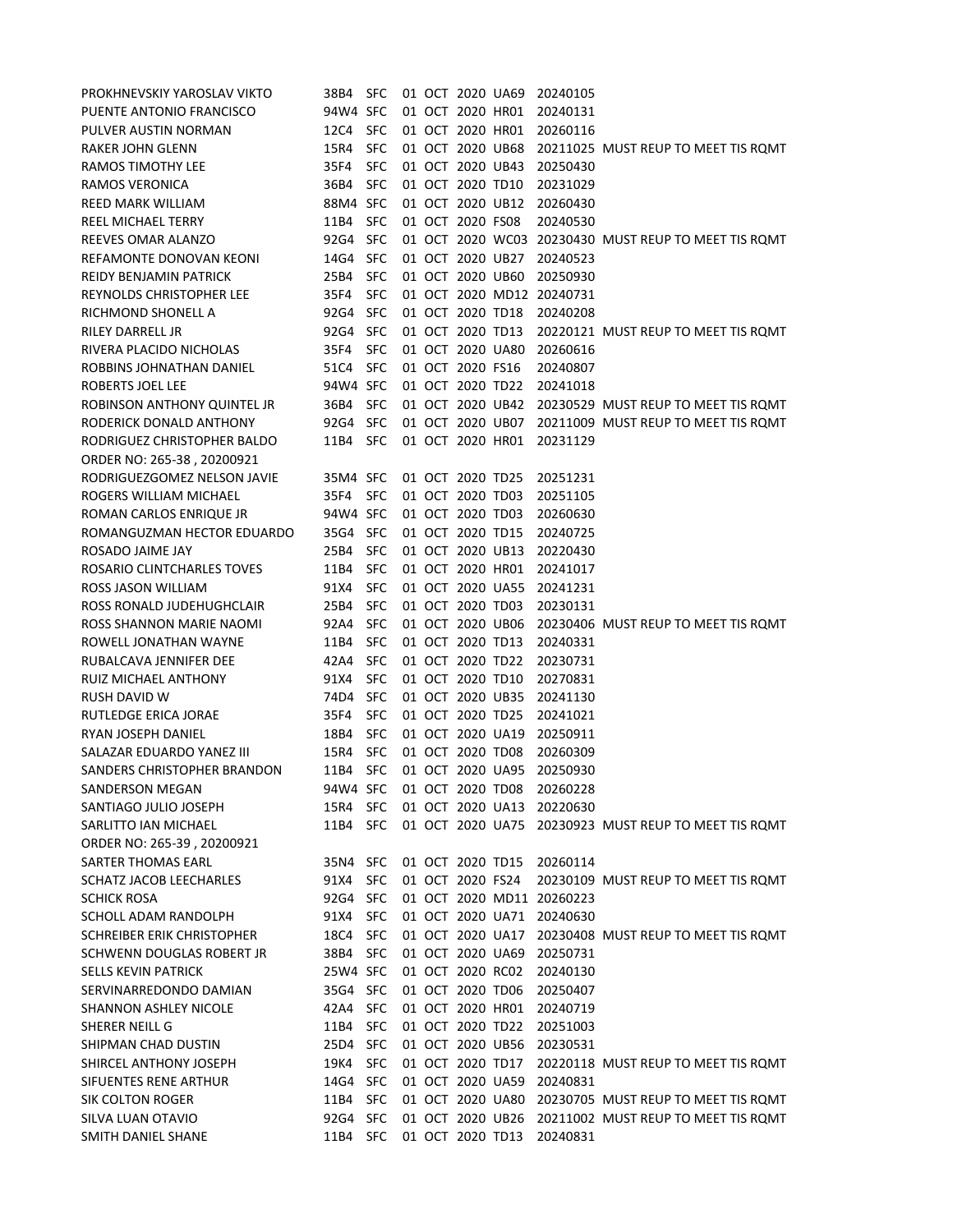| PROKHNEVSKIY YAROSLAV VIKTO                           | 38B4 SFC         |                          |  |                                      | 01 OCT 2020 UA69                     | 20240105                  |                                                                            |
|-------------------------------------------------------|------------------|--------------------------|--|--------------------------------------|--------------------------------------|---------------------------|----------------------------------------------------------------------------|
| PUENTE ANTONIO FRANCISCO                              | 94W4 SFC         |                          |  |                                      | 01 OCT 2020 HR01                     | 20240131                  |                                                                            |
| PULVER AUSTIN NORMAN                                  | 12C4             | <b>SFC</b>               |  | 01 OCT 2020 HR01                     |                                      | 20260116                  |                                                                            |
| <b>RAKER JOHN GLENN</b>                               | 15R4             | <b>SFC</b>               |  |                                      | 01 OCT 2020 UB68                     |                           | 20211025 MUST REUP TO MEET TIS ROMT                                        |
| <b>RAMOS TIMOTHY LEE</b>                              | 35F4             | <b>SFC</b>               |  | 01 OCT 2020 UB43                     |                                      | 20250430                  |                                                                            |
| RAMOS VERONICA                                        | 36B4             | <b>SFC</b>               |  | 01 OCT 2020 TD10                     |                                      | 20231029                  |                                                                            |
| <b>REED MARK WILLIAM</b>                              | 88M4 SFC         |                          |  | 01 OCT 2020 UB12                     |                                      | 20260430                  |                                                                            |
| <b>REEL MICHAEL TERRY</b>                             | 11B4             | <b>SFC</b>               |  | 01 OCT 2020 FS08                     |                                      | 20240530                  |                                                                            |
| REEVES OMAR ALANZO                                    | 92G4 SFC         |                          |  |                                      |                                      |                           | 01 OCT 2020 WC03 20230430 MUST REUP TO MEET TIS ROMT                       |
| REFAMONTE DONOVAN KEONI                               | 14G4             | <b>SFC</b>               |  | 01 OCT 2020 UB27                     |                                      | 20240523                  |                                                                            |
| REIDY BENJAMIN PATRICK                                | 25B4             | <b>SFC</b>               |  | 01 OCT 2020 UB60                     |                                      | 20250930                  |                                                                            |
| REYNOLDS CHRISTOPHER LEE                              | 35F4             | <b>SFC</b>               |  |                                      |                                      | 01 OCT 2020 MD12 20240731 |                                                                            |
| RICHMOND SHONELL A                                    | 92G4             | <b>SFC</b>               |  | 01 OCT 2020 TD18                     |                                      | 20240208                  |                                                                            |
| RILEY DARRELL JR                                      | 92G4             | <b>SFC</b>               |  | 01 OCT 2020 TD13                     |                                      |                           | 20220121 MUST REUP TO MEET TIS ROMT                                        |
| RIVERA PLACIDO NICHOLAS                               | 35F4             | <b>SFC</b>               |  |                                      | 01 OCT 2020 UA80                     | 20260616                  |                                                                            |
| ROBBINS JOHNATHAN DANIEL                              | 51C4             | <b>SFC</b>               |  | 01 OCT 2020 FS16                     |                                      | 20240807                  |                                                                            |
| ROBERTS JOEL LEE                                      | 94W4 SFC         |                          |  | 01 OCT 2020 TD22                     |                                      | 20241018                  |                                                                            |
| ROBINSON ANTHONY QUINTEL JR                           | 36B4             | <b>SFC</b>               |  |                                      | 01 OCT 2020 UB42                     |                           | 20230529 MUST REUP TO MEET TIS ROMT                                        |
| RODERICK DONALD ANTHONY                               | 92G4 SFC         |                          |  |                                      | 01 OCT 2020 UB07                     |                           | 20211009 MUST REUP TO MEET TIS ROMT                                        |
| RODRIGUEZ CHRISTOPHER BALDO                           | 11B4 SFC         |                          |  |                                      | 01 OCT 2020 HR01                     | 20231129                  |                                                                            |
| ORDER NO: 265-38, 20200921                            |                  |                          |  |                                      |                                      |                           |                                                                            |
| RODRIGUEZGOMEZ NELSON JAVIE<br>ROGERS WILLIAM MICHAEL | 35M4 SFC<br>35F4 | SFC                      |  | 01 OCT 2020 TD25<br>01 OCT 2020 TD03 |                                      | 20251231<br>20251105      |                                                                            |
| ROMAN CARLOS ENRIQUE JR                               | 94W4 SFC         |                          |  | 01 OCT 2020 TD03                     |                                      | 20260630                  |                                                                            |
| ROMANGUZMAN HECTOR EDUARDO                            | 35G4 SFC         |                          |  | 01 OCT 2020 TD15                     |                                      | 20240725                  |                                                                            |
| ROSADO JAIME JAY                                      | 25B4             | <b>SFC</b>               |  | 01 OCT 2020 UB13                     |                                      | 20220430                  |                                                                            |
| ROSARIO CLINTCHARLES TOVES                            | 11B4             | <b>SFC</b>               |  | 01 OCT 2020 HR01                     |                                      | 20241017                  |                                                                            |
| ROSS JASON WILLIAM                                    | 91X4             | <b>SFC</b>               |  |                                      | 01 OCT 2020 UA55                     | 20241231                  |                                                                            |
| ROSS RONALD JUDEHUGHCLAIR                             | 25B4             | <b>SFC</b>               |  | 01 OCT 2020 TD03                     |                                      | 20230131                  |                                                                            |
| ROSS SHANNON MARIE NAOMI                              | 92A4             | <b>SFC</b>               |  | 01 OCT 2020 UB06                     |                                      |                           | 20230406 MUST REUP TO MEET TIS ROMT                                        |
| ROWELL JONATHAN WAYNE                                 | 11B4 SFC         |                          |  | 01 OCT 2020 TD13                     |                                      | 20240331                  |                                                                            |
| RUBALCAVA JENNIFER DEE                                | 42A4 SFC         |                          |  | 01 OCT 2020 TD22                     |                                      | 20230731                  |                                                                            |
| RUIZ MICHAEL ANTHONY                                  | 91X4 -           | <b>SFC</b>               |  | 01 OCT 2020 TD10                     |                                      | 20270831                  |                                                                            |
| <b>RUSH DAVID W</b>                                   | 74D4             | <b>SFC</b>               |  | 01 OCT 2020 UB35                     |                                      | 20241130                  |                                                                            |
| RUTLEDGE ERICA JORAE                                  | 35F4             | <b>SFC</b>               |  | 01 OCT 2020 TD25                     |                                      | 20241021                  |                                                                            |
| RYAN JOSEPH DANIEL                                    | 18B4             | <b>SFC</b>               |  |                                      | 01 OCT 2020 UA19                     | 20250911                  |                                                                            |
| SALAZAR EDUARDO YANEZ III                             | 15R4             | <b>SFC</b>               |  | 01 OCT 2020 TD08                     |                                      | 20260309                  |                                                                            |
| SANDERS CHRISTOPHER BRANDON                           | 11B4             | <b>SFC</b>               |  |                                      | 01 OCT 2020 UA95                     | 20250930                  |                                                                            |
| SANDERSON MEGAN                                       | 94W4 SFC         |                          |  | 01 OCT 2020 TD08                     |                                      | 20260228                  |                                                                            |
| SANTIAGO JULIO JOSEPH                                 | 15R4             | <b>SFC</b>               |  |                                      | 01 OCT 2020 UA13                     | 20220630                  |                                                                            |
| SARLITTO IAN MICHAEL                                  | 11B4             | <b>SFC</b>               |  |                                      | 01 OCT 2020 UA75                     |                           | 20230923 MUST REUP TO MEET TIS ROMT                                        |
| ORDER NO: 265-39, 20200921                            |                  |                          |  |                                      |                                      |                           |                                                                            |
| <b>SARTER THOMAS EARL</b>                             | 35N4 SFC         |                          |  | 01 OCT 2020 TD15                     |                                      | 20260114                  |                                                                            |
| <b>SCHATZ JACOB LEECHARLES</b>                        | 91X4             | <b>SFC</b>               |  | 01 OCT 2020 FS24                     |                                      |                           | 20230109 MUST REUP TO MEET TIS ROMT                                        |
| <b>SCHICK ROSA</b>                                    | 92G4 SFC         |                          |  |                                      |                                      | 01 OCT 2020 MD11 20260223 |                                                                            |
| SCHOLL ADAM RANDOLPH                                  | 91X4             | <b>SFC</b>               |  |                                      | 01 OCT 2020 UA71                     | 20240630                  |                                                                            |
| <b>SCHREIBER ERIK CHRISTOPHER</b>                     | 18C4             | <b>SFC</b>               |  |                                      | 01 OCT 2020 UA17                     |                           | 20230408 MUST REUP TO MEET TIS ROMT                                        |
| SCHWENN DOUGLAS ROBERT JR                             | 38B4 SFC         |                          |  |                                      | 01 OCT 2020 UA69                     | 20250731                  |                                                                            |
| <b>SELLS KEVIN PATRICK</b>                            | 25W4 SFC         |                          |  | 01 OCT 2020 RC02                     |                                      | 20240130                  |                                                                            |
| SERVINARREDONDO DAMIAN                                | 35G4 SFC         |                          |  | 01 OCT 2020 TD06                     |                                      | 20250407                  |                                                                            |
| <b>SHANNON ASHLEY NICOLE</b>                          | 42A4             | <b>SFC</b>               |  | 01 OCT 2020 HR01                     |                                      | 20240719                  |                                                                            |
| SHERER NEILL G                                        | 11B4             | <b>SFC</b>               |  | 01 OCT 2020 TD22                     |                                      | 20251003                  |                                                                            |
| SHIPMAN CHAD DUSTIN                                   | 25D4 SFC         |                          |  |                                      | 01 OCT 2020 UB56                     | 20230531                  |                                                                            |
| SHIRCEL ANTHONY JOSEPH                                | 19K4             | <b>SFC</b>               |  | 01 OCT 2020 TD17                     |                                      |                           | 20220118 MUST REUP TO MEET TIS ROMT                                        |
| SIFUENTES RENE ARTHUR                                 | 14G4 SFC         |                          |  |                                      | 01 OCT 2020 UA59                     | 20240831                  |                                                                            |
| <b>SIK COLTON ROGER</b>                               | 11B4             | <b>SFC</b>               |  |                                      | 01 OCT 2020 UA80<br>01 OCT 2020 UB26 |                           | 20230705 MUST REUP TO MEET TIS ROMT<br>20211002 MUST REUP TO MEET TIS ROMT |
| SILVA LUAN OTAVIO<br>SMITH DANIEL SHANE               | 92G4             | <b>SFC</b><br><b>SFC</b> |  |                                      | 01 OCT 2020 TD13                     | 20240831                  |                                                                            |
|                                                       | 11B4             |                          |  |                                      |                                      |                           |                                                                            |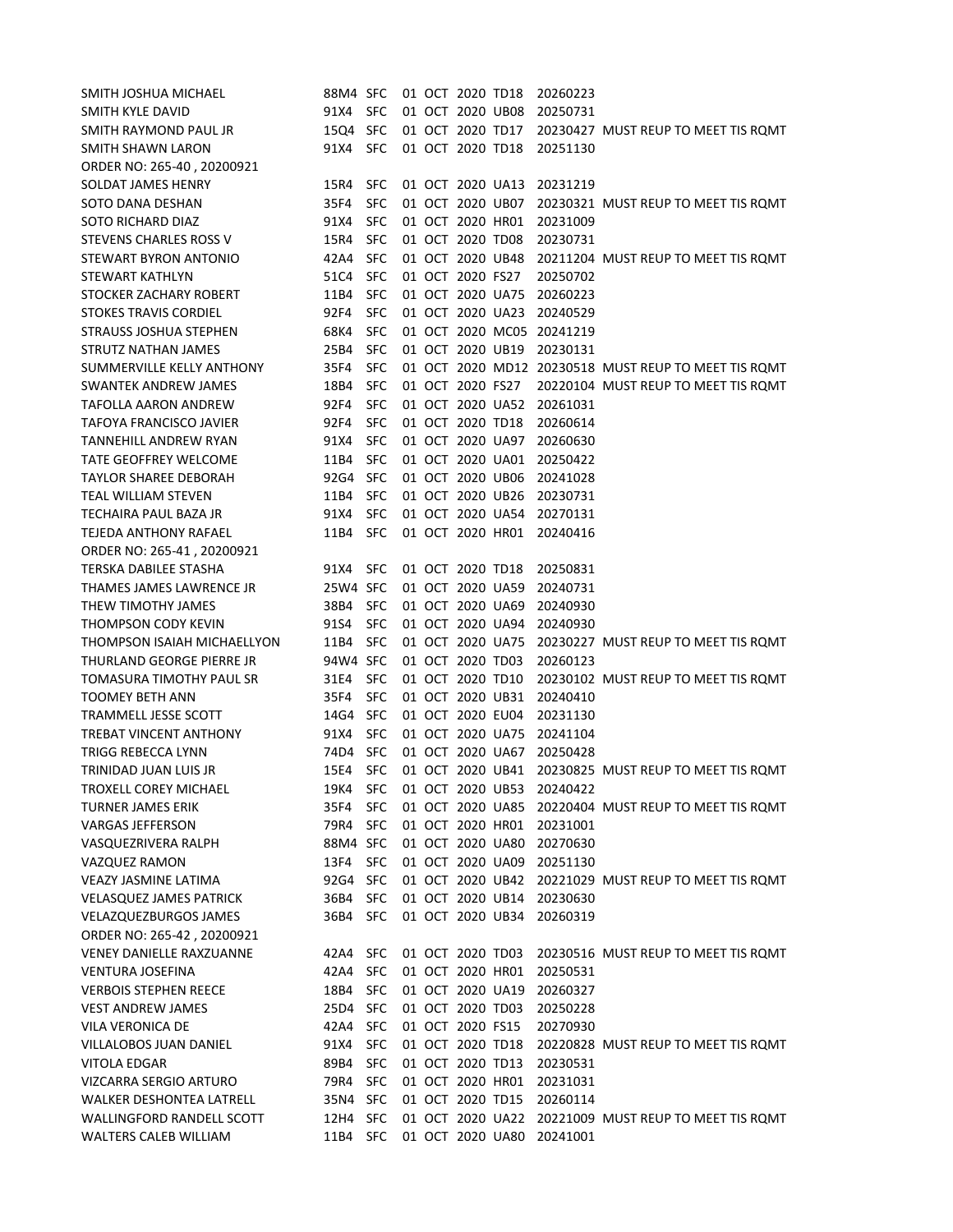| SMITH JOSHUA MICHAEL             | 88M4 SFC |            |  | 01 OCT 2020 TD18 |                  | 20260223 |                                                      |
|----------------------------------|----------|------------|--|------------------|------------------|----------|------------------------------------------------------|
| SMITH KYLE DAVID                 | 91X4 SFC |            |  | 01 OCT 2020 UB08 |                  | 20250731 |                                                      |
| SMITH RAYMOND PAUL JR            | 15Q4 SFC |            |  |                  | 01 OCT 2020 TD17 |          | 20230427 MUST REUP TO MEET TIS ROMT                  |
| SMITH SHAWN LARON                | 91X4 SFC |            |  | 01 OCT 2020 TD18 |                  | 20251130 |                                                      |
| ORDER NO: 265-40, 20200921       |          |            |  |                  |                  |          |                                                      |
| SOLDAT JAMES HENRY               | 15R4     | SFC.       |  | 01 OCT 2020 UA13 |                  | 20231219 |                                                      |
| SOTO DANA DESHAN                 | 35F4     | <b>SFC</b> |  | 01 OCT 2020 UB07 |                  |          | 20230321 MUST REUP TO MEET TIS ROMT                  |
| SOTO RICHARD DIAZ                | 91X4     | <b>SFC</b> |  | 01 OCT 2020 HR01 |                  | 20231009 |                                                      |
| STEVENS CHARLES ROSS V           | 15R4     | SFC        |  | 01 OCT 2020 TD08 |                  | 20230731 |                                                      |
| STEWART BYRON ANTONIO            | 42A4     | <b>SFC</b> |  | 01 OCT 2020 UB48 |                  |          | 20211204 MUST REUP TO MEET TIS ROMT                  |
| <b>STEWART KATHLYN</b>           | 51C4     | <b>SFC</b> |  | 01 OCT 2020 FS27 |                  | 20250702 |                                                      |
| STOCKER ZACHARY ROBERT           | 11B4     | <b>SFC</b> |  | 01 OCT 2020 UA75 |                  | 20260223 |                                                      |
| <b>STOKES TRAVIS CORDIEL</b>     | 92F4     | <b>SFC</b> |  | 01 OCT 2020 UA23 |                  | 20240529 |                                                      |
| STRAUSS JOSHUA STEPHEN           | 68K4     | <b>SFC</b> |  |                  | 01 OCT 2020 MC05 | 20241219 |                                                      |
| STRUTZ NATHAN JAMES              | 25B4     | <b>SFC</b> |  | 01 OCT 2020 UB19 |                  | 20230131 |                                                      |
| SUMMERVILLE KELLY ANTHONY        | 35F4     | <b>SFC</b> |  |                  |                  |          | 01 OCT 2020 MD12 20230518 MUST REUP TO MEET TIS ROMT |
| <b>SWANTEK ANDREW JAMES</b>      | 18B4     | <b>SFC</b> |  | 01 OCT 2020 FS27 |                  |          | 20220104 MUST REUP TO MEET TIS ROMT                  |
| TAFOLLA AARON ANDREW             | 92F4     | <b>SFC</b> |  |                  | 01 OCT 2020 UA52 | 20261031 |                                                      |
| <b>TAFOYA FRANCISCO JAVIER</b>   | 92F4     | <b>SFC</b> |  | 01 OCT 2020 TD18 |                  | 20260614 |                                                      |
| TANNEHILL ANDREW RYAN            | 91X4     | <b>SFC</b> |  |                  | 01 OCT 2020 UA97 | 20260630 |                                                      |
| <b>TATE GEOFFREY WELCOME</b>     | 11B4     | <b>SFC</b> |  | 01 OCT 2020 UA01 |                  | 20250422 |                                                      |
| <b>TAYLOR SHAREE DEBORAH</b>     | 92G4 SFC |            |  | 01 OCT 2020 UB06 |                  | 20241028 |                                                      |
| <b>TEAL WILLIAM STEVEN</b>       | 11B4 SFC |            |  | 01 OCT 2020 UB26 |                  | 20230731 |                                                      |
| TECHAIRA PAUL BAZA JR            | 91X4     | <b>SFC</b> |  | 01 OCT 2020 UA54 |                  | 20270131 |                                                      |
| TEJEDA ANTHONY RAFAEL            | 11B4     | SFC        |  | 01 OCT 2020 HR01 |                  | 20240416 |                                                      |
| ORDER NO: 265-41, 20200921       |          |            |  |                  |                  |          |                                                      |
| TERSKA DABILEE STASHA            | 91X4 SFC |            |  | 01 OCT 2020 TD18 |                  | 20250831 |                                                      |
| THAMES JAMES LAWRENCE JR         | 25W4 SFC |            |  | 01 OCT 2020 UA59 |                  | 20240731 |                                                      |
| THEW TIMOTHY JAMES               | 38B4 SFC |            |  | 01 OCT 2020 UA69 |                  | 20240930 |                                                      |
| <b>THOMPSON CODY KEVIN</b>       | 91S4     | <b>SFC</b> |  | 01 OCT 2020 UA94 |                  | 20240930 |                                                      |
| THOMPSON ISAIAH MICHAELLYON      | 11B4 SFC |            |  |                  | 01 OCT 2020 UA75 |          | 20230227 MUST REUP TO MEET TIS ROMT                  |
| THURLAND GEORGE PIERRE JR        | 94W4 SFC |            |  | 01 OCT 2020 TD03 |                  | 20260123 |                                                      |
| TOMASURA TIMOTHY PAUL SR         | 31E4     | <b>SFC</b> |  | 01 OCT 2020 TD10 |                  |          | 20230102 MUST REUP TO MEET TIS ROMT                  |
| <b>TOOMEY BETH ANN</b>           | 35F4     | <b>SFC</b> |  |                  | 01 OCT 2020 UB31 | 20240410 |                                                      |
| <b>TRAMMELL JESSE SCOTT</b>      | 14G4     | <b>SFC</b> |  | 01 OCT 2020 EU04 |                  | 20231130 |                                                      |
| <b>TREBAT VINCENT ANTHONY</b>    | 91X4     | <b>SFC</b> |  | 01 OCT 2020 UA75 |                  | 20241104 |                                                      |
| TRIGG REBECCA LYNN               | 74D4     | <b>SFC</b> |  | 01 OCT 2020 UA67 |                  | 20250428 |                                                      |
| TRINIDAD JUAN LUIS JR            | 15E4     | <b>SFC</b> |  | 01 OCT 2020 UB41 |                  |          | 20230825 MUST REUP TO MEET TIS ROMT                  |
| TROXELL COREY MICHAEL            | 19K4     | <b>SFC</b> |  | 01 OCT 2020 UB53 |                  | 20240422 |                                                      |
| <b>TURNER JAMES ERIK</b>         | 35F4     | <b>SFC</b> |  | 01 OCT 2020 UA85 |                  |          | 20220404 MUST REUP TO MEET TIS ROMT                  |
| <b>VARGAS JEFFERSON</b>          | 79R4     | <b>SFC</b> |  | 01 OCT 2020 HR01 |                  | 20231001 |                                                      |
| VASQUEZRIVERA RALPH              | 88M4 SFC |            |  |                  | 01 OCT 2020 UA80 | 20270630 |                                                      |
| <b>VAZQUEZ RAMON</b>             | 13F4     | <b>SFC</b> |  | 01 OCT 2020 UA09 |                  | 20251130 |                                                      |
| <b>VEAZY JASMINE LATIMA</b>      | 92G4 SFC |            |  |                  | 01 OCT 2020 UB42 |          | 20221029 MUST REUP TO MEET TIS ROMT                  |
| <b>VELASQUEZ JAMES PATRICK</b>   | 36B4     | <b>SFC</b> |  | 01 OCT 2020 UB14 |                  | 20230630 |                                                      |
| <b>VELAZQUEZBURGOS JAMES</b>     | 36B4     | <b>SFC</b> |  | 01 OCT 2020 UB34 |                  | 20260319 |                                                      |
| ORDER NO: 265-42, 20200921       |          |            |  |                  |                  |          |                                                      |
| <b>VENEY DANIELLE RAXZUANNE</b>  | 42A4 SFC |            |  | 01 OCT 2020 TD03 |                  |          | 20230516 MUST REUP TO MEET TIS ROMT                  |
| <b>VENTURA JOSEFINA</b>          | 42A4     | <b>SFC</b> |  | 01 OCT 2020 HR01 |                  | 20250531 |                                                      |
| <b>VERBOIS STEPHEN REECE</b>     | 18B4     | <b>SFC</b> |  | 01 OCT 2020 UA19 |                  | 20260327 |                                                      |
| <b>VEST ANDREW JAMES</b>         | 25D4     | <b>SFC</b> |  | 01 OCT 2020 TD03 |                  | 20250228 |                                                      |
| VILA VERONICA DE                 | 42A4     | <b>SFC</b> |  | 01 OCT 2020 FS15 |                  | 20270930 |                                                      |
| VILLALOBOS JUAN DANIEL           | 91X4     | <b>SFC</b> |  | 01 OCT 2020 TD18 |                  |          | 20220828 MUST REUP TO MEET TIS ROMT                  |
| <b>VITOLA EDGAR</b>              | 89B4     | <b>SFC</b> |  | 01 OCT 2020 TD13 |                  | 20230531 |                                                      |
| VIZCARRA SERGIO ARTURO           | 79R4     | <b>SFC</b> |  | 01 OCT 2020 HR01 |                  | 20231031 |                                                      |
| <b>WALKER DESHONTEA LATRELL</b>  | 35N4 SFC |            |  | 01 OCT 2020 TD15 |                  | 20260114 |                                                      |
| <b>WALLINGFORD RANDELL SCOTT</b> | 12H4     | <b>SFC</b> |  | 01 OCT 2020 UA22 |                  |          | 20221009 MUST REUP TO MEET TIS ROMT                  |
| <b>WALTERS CALEB WILLIAM</b>     | 11B4     | <b>SFC</b> |  |                  | 01 OCT 2020 UA80 | 20241001 |                                                      |